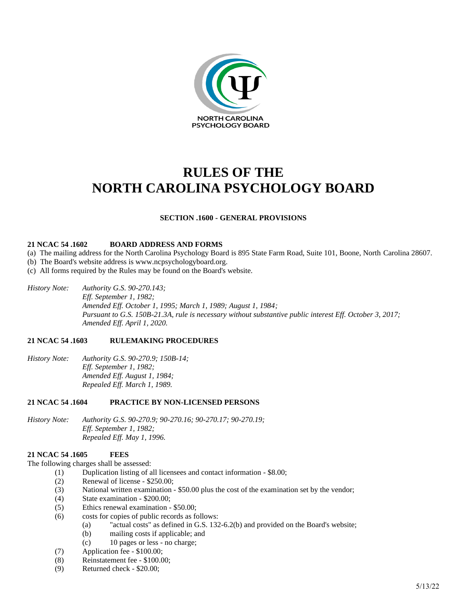

# **RULES OF THE NORTH CAROLINA PSYCHOLOGY BOARD**

# **SECTION .1600 - GENERAL PROVISIONS**

#### **21 NCAC 54 .1602 BOARD ADDRESS AND FORMS**

- (a) The mailing address for the North Carolina Psychology Board is 895 State Farm Road, Suite 101, Boone, North Carolina 28607.
- (b) The Board's website address is www.ncpsychologyboard.org.
- (c) All forms required by the Rules may be found on the Board's website.
- *History Note: Authority G.S. 90-270.143; Eff. September 1, 1982; Amended Eff. October 1, 1995; March 1, 1989; August 1, 1984; Pursuant to G.S. 150B-21.3A, rule is necessary without substantive public interest Eff. October 3, 2017; Amended Eff. April 1, 2020.*

#### **21 NCAC 54 .1603 RULEMAKING PROCEDURES**

*History Note: Authority G.S. 90-270.9; 150B-14; Eff. September 1, 1982; Amended Eff. August 1, 1984; Repealed Eff. March 1, 1989.*

# **21 NCAC 54 .1604 PRACTICE BY NON-LICENSED PERSONS**

*History Note: Authority G.S. 90-270.9; 90-270.16; 90-270.17; 90-270.19; Eff. September 1, 1982; Repealed Eff. May 1, 1996.*

# **21 NCAC 54 .1605 FEES**

The following charges shall be assessed:

- (1) Duplication listing of all licensees and contact information \$8.00;
	- (2) Renewal of license \$250.00;
	- (3) National written examination \$50.00 plus the cost of the examination set by the vendor;
	- (4) State examination \$200.00;
	- (5) Ethics renewal examination \$50.00;
	- (6) costs for copies of public records as follows:
		- (a) "actual costs" as defined in G.S. 132-6.2(b) and provided on the Board's website;
		- (b) mailing costs if applicable; and
		- (c) 10 pages or less no charge;
	- (7) Application fee \$100.00;
	- (8) Reinstatement fee \$100.00;
	- (9) Returned check \$20.00;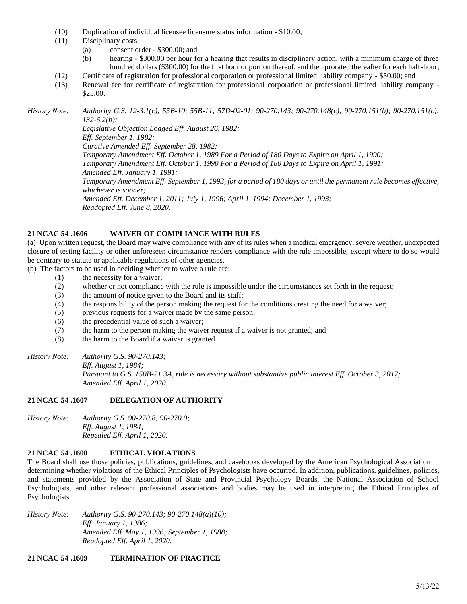- (10) Duplication of individual licensee licensure status information \$10.00;
- (11) Disciplinary costs:
	- (a) consent order \$300.00; and
	- (b) hearing \$300.00 per hour for a hearing that results in disciplinary action, with a minimum charge of three hundred dollars (\$300.00) for the first hour or portion thereof, and then prorated thereafter for each half-hour;
- (12) Certificate of registration for professional corporation or professional limited liability company \$50.00; and
- (13) Renewal fee for certificate of registration for professional corporation or professional limited liability company \$25.00.

*History Note: Authority G.S. 12-3.1(c); 55B-10; 55B-11; 57D-02-01; 90-270.143; 90-270.148(c); 90-270.151(b); 90-270.151(c); 132-6.2(b); Legislative Objection Lodged Eff. August 26, 1982; Eff. September 1, 1982; Curative Amended Eff. September 28, 1982;*

*Temporary Amendment Eff. October 1, 1989 For a Period of 180 Days to Expire on April 1, 1990; Temporary Amendment Eff. October 1, 1990 For a Period of 180 Days to Expire on April 1, 1991;*

*Amended Eff. January 1, 1991;*

*Temporary Amendment Eff. September 1, 1993, for a period of 180 days or until the permanent rule becomes effective, whichever is sooner;*

*Amended Eff. December 1, 2011; July 1, 1996; April 1, 1994; December 1, 1993; Readopted Eff. June 8, 2020.*

# **21 NCAC 54 .1606 WAIVER OF COMPLIANCE WITH RULES**

(a) Upon written request, the Board may waive compliance with any of its rules when a medical emergency, severe weather, unexpected closure of testing facility or other unforeseen circumstance renders compliance with the rule impossible, except where to do so would be contrary to statute or applicable regulations of other agencies.

(b) The factors to be used in deciding whether to waive a rule are:

- (1) the necessity for a waiver;
- (2) whether or not compliance with the rule is impossible under the circumstances set forth in the request;
- (3) the amount of notice given to the Board and its staff;
- (4) the responsibility of the person making the request for the conditions creating the need for a waiver;
- (5) previous requests for a waiver made by the same person;
- (6) the precedential value of such a waiver;
- (7) the harm to the person making the waiver request if a waiver is not granted; and
- (8) the harm to the Board if a waiver is granted.
- *History Note: Authority G.S. 90-270.143; Eff. August 1, 1984; Pursuant to G.S. 150B-21.3A, rule is necessary without substantive public interest Eff. October 3, 2017; Amended Eff. April 1, 2020.*

# **21 NCAC 54 .1607 DELEGATION OF AUTHORITY**

*History Note: Authority G.S. 90-270.8; 90-270.9; Eff. August 1, 1984; Repealed Eff. April 1, 2020.*

# **21 NCAC 54 .1608 ETHICAL VIOLATIONS**

The Board shall use those policies, publications, guidelines, and casebooks developed by the American Psychological Association in determining whether violations of the Ethical Principles of Psychologists have occurred. In addition, publications, guidelines, policies, and statements provided by the Association of State and Provincial Psychology Boards, the National Association of School Psychologists, and other relevant professional associations and bodies may be used in interpreting the Ethical Principles of Psychologists.

*History Note: Authority G.S. 90-270.143; 90-270.148(a)(10); Eff. January 1, 1986; Amended Eff. May 1, 1996; September 1, 1988; Readopted Eff. April 1, 2020.*

# **21 NCAC 54 .1609 TERMINATION OF PRACTICE**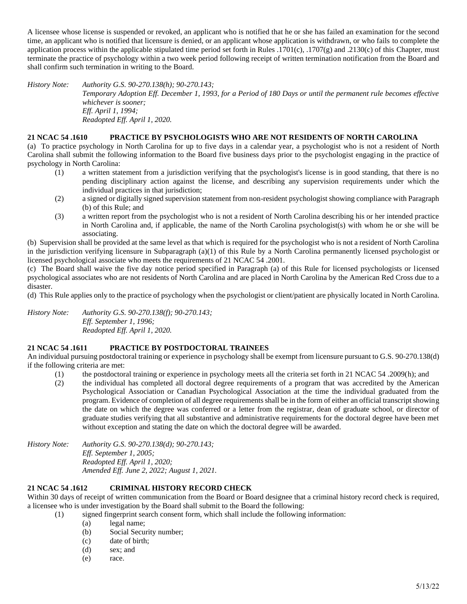A licensee whose license is suspended or revoked, an applicant who is notified that he or she has failed an examination for the second time, an applicant who is notified that licensure is denied, or an applicant whose application is withdrawn, or who fails to complete the application process within the applicable stipulated time period set forth in Rules .1701(c), .1707(g) and .2130(c) of this Chapter, must terminate the practice of psychology within a two week period following receipt of written termination notification from the Board and shall confirm such termination in writing to the Board.

*History Note: Authority G.S. 90-270.138(h); 90-270.143; Temporary Adoption Eff. December 1, 1993, for a Period of 180 Days or until the permanent rule becomes effective whichever is sooner; Eff. April 1, 1994; Readopted Eff. April 1, 2020.*

# **21 NCAC 54 .1610 PRACTICE BY PSYCHOLOGISTS WHO ARE NOT RESIDENTS OF NORTH CAROLINA**

(a) To practice psychology in North Carolina for up to five days in a calendar year, a psychologist who is not a resident of North Carolina shall submit the following information to the Board five business days prior to the psychologist engaging in the practice of psychology in North Carolina:

- (1) a written statement from a jurisdiction verifying that the psychologist's license is in good standing, that there is no pending disciplinary action against the license, and describing any supervision requirements under which the individual practices in that jurisdiction;
- (2) a signed or digitally signed supervision statement from non-resident psychologist showing compliance with Paragraph (b) of this Rule; and
- (3) a written report from the psychologist who is not a resident of North Carolina describing his or her intended practice in North Carolina and, if applicable, the name of the North Carolina psychologist(s) with whom he or she will be associating.

(b) Supervision shall be provided at the same level as that which is required for the psychologist who is not a resident of North Carolina in the jurisdiction verifying licensure in Subparagraph (a)(1) of this Rule by a North Carolina permanently licensed psychologist or licensed psychological associate who meets the requirements of 21 NCAC 54 .2001.

(c) The Board shall waive the five day notice period specified in Paragraph (a) of this Rule for licensed psychologists or licensed psychological associates who are not residents of North Carolina and are placed in North Carolina by the American Red Cross due to a disaster.

(d) This Rule applies only to the practice of psychology when the psychologist or client/patient are physically located in North Carolina.

*History Note: Authority G.S. 90-270.138(f); 90-270.143; Eff. September 1, 1996; Readopted Eff. April 1, 2020.*

# **21 NCAC 54 .1611 PRACTICE BY POSTDOCTORAL TRAINEES**

An individual pursuing postdoctoral training or experience in psychology shall be exempt from licensure pursuant to G.S. 90-270.138(d) if the following criteria are met:

- (1) the postdoctoral training or experience in psychology meets all the criteria set forth in 21 NCAC 54 .2009(h); and
- (2) the individual has completed all doctoral degree requirements of a program that was accredited by the American Psychological Association or Canadian Psychological Association at the time the individual graduated from the program. Evidence of completion of all degree requirements shall be in the form of either an official transcript showing the date on which the degree was conferred or a letter from the registrar, dean of graduate school, or director of graduate studies verifying that all substantive and administrative requirements for the doctoral degree have been met without exception and stating the date on which the doctoral degree will be awarded.

*History Note: Authority G.S. 90-270.138(d); 90-270.143; Eff. September 1, 2005; Readopted Eff. April 1, 2020; Amended Eff. June 2, 2022; August 1, 2021.*

# **21 NCAC 54 .1612 CRIMINAL HISTORY RECORD CHECK**

Within 30 days of receipt of written communication from the Board or Board designee that a criminal history record check is required, a licensee who is under investigation by the Board shall submit to the Board the following:

- (1) signed fingerprint search consent form, which shall include the following information:
	- (a) legal name;
	- (b) Social Security number;
	- (c) date of birth;
	- (d) sex; and
	- (e) race.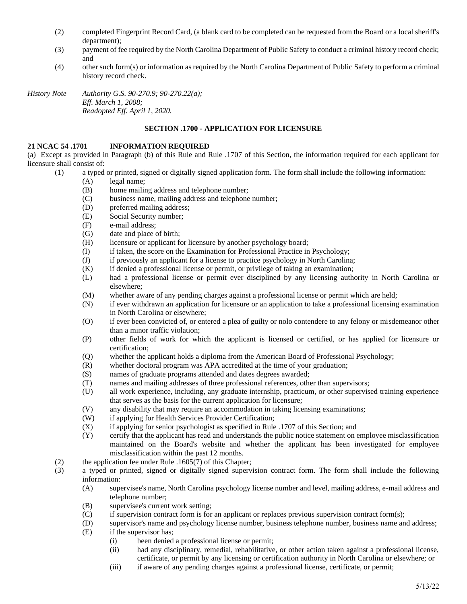- (2) completed Fingerprint Record Card, (a blank card to be completed can be requested from the Board or a local sheriff's department);
- (3) payment of fee required by the North Carolina Department of Public Safety to conduct a criminal history record check; and
- (4) other such form(s) or information as required by the North Carolina Department of Public Safety to perform a criminal history record check.

*History Note Authority G.S. 90-270.9; 90-270.22(a); Eff. March 1, 2008; Readopted Eff. April 1, 2020.*

# **SECTION .1700 - APPLICATION FOR LICENSURE**

### **21 NCAC 54 .1701 INFORMATION REQUIRED**

(a) Except as provided in Paragraph (b) of this Rule and Rule .1707 of this Section, the information required for each applicant for licensure shall consist of:

- (1) a typed or printed, signed or digitally signed application form. The form shall include the following information:
	- (A) legal name;
	- (B) home mailing address and telephone number;
	- (C) business name, mailing address and telephone number;
	- (D) preferred mailing address;
	- (E) Social Security number;
	- (F) e-mail address;
	- (G) date and place of birth;
	- (H) licensure or applicant for licensure by another psychology board;
	- (I) if taken, the score on the Examination for Professional Practice in Psychology;
	- (J) if previously an applicant for a license to practice psychology in North Carolina;
	- (K) if denied a professional license or permit, or privilege of taking an examination;
	- (L) had a professional license or permit ever disciplined by any licensing authority in North Carolina or elsewhere;
	- (M) whether aware of any pending charges against a professional license or permit which are held;
	- (N) if ever withdrawn an application for licensure or an application to take a professional licensing examination in North Carolina or elsewhere;
	- (O) if ever been convicted of, or entered a plea of guilty or nolo contendere to any felony or misdemeanor other than a minor traffic violation;
	- (P) other fields of work for which the applicant is licensed or certified, or has applied for licensure or certification;
	- (Q) whether the applicant holds a diploma from the American Board of Professional Psychology;
	- (R) whether doctoral program was APA accredited at the time of your graduation;
	- (S) names of graduate programs attended and dates degrees awarded;
	- (T) names and mailing addresses of three professional references, other than supervisors;
	- (U) all work experience, including, any graduate internship, practicum, or other supervised training experience that serves as the basis for the current application for licensure;
	- (V) any disability that may require an accommodation in taking licensing examinations;
	- (W) if applying for Health Services Provider Certification;
	- (X) if applying for senior psychologist as specified in Rule .1707 of this Section; and
	- (Y) certify that the applicant has read and understands the public notice statement on employee misclassification maintained on the Board's website and whether the applicant has been investigated for employee misclassification within the past 12 months.
- (2) the application fee under Rule .1605(7) of this Chapter;
- (3) a typed or printed, signed or digitally signed supervision contract form. The form shall include the following information:
	- (A) supervisee's name, North Carolina psychology license number and level, mailing address, e-mail address and telephone number;
	- (B) supervisee's current work setting;
	- (C) if supervision contract form is for an applicant or replaces previous supervision contract form(s);
	- (D) supervisor's name and psychology license number, business telephone number, business name and address;
	- (E) if the supervisor has;
		- (i) been denied a professional license or permit;
		- (ii) had any disciplinary, remedial, rehabilitative, or other action taken against a professional license, certificate, or permit by any licensing or certification authority in North Carolina or elsewhere; or
		- (iii) if aware of any pending charges against a professional license, certificate, or permit;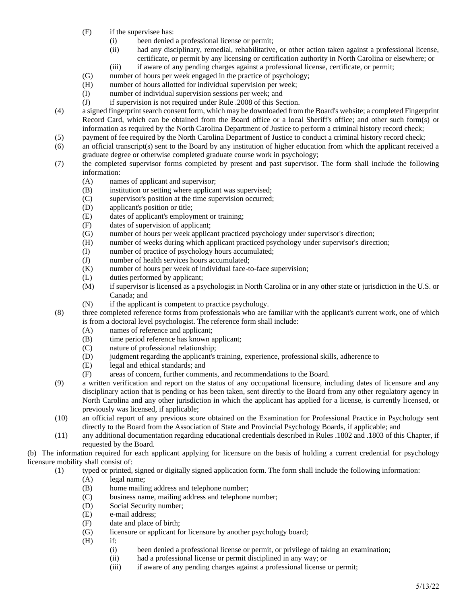- (F) if the supervisee has:
	- (i) been denied a professional license or permit;
	- (ii) had any disciplinary, remedial, rehabilitative, or other action taken against a professional license, certificate, or permit by any licensing or certification authority in North Carolina or elsewhere; or
	- (iii) if aware of any pending charges against a professional license, certificate, or permit;
- (G) number of hours per week engaged in the practice of psychology;
- (H) number of hours allotted for individual supervision per week;
- (I) number of individual supervision sessions per week; and
- (J) if supervision is not required under Rule .2008 of this Section.
- (4) a signed fingerprint search consent form, which may be downloaded from the Board's website; a completed Fingerprint Record Card, which can be obtained from the Board office or a local Sheriff's office; and other such form(s) or information as required by the North Carolina Department of Justice to perform a criminal history record check;
- (5) payment of fee required by the North Carolina Department of Justice to conduct a criminal history record check;
- (6) an official transcript(s) sent to the Board by any institution of higher education from which the applicant received a graduate degree or otherwise completed graduate course work in psychology;
- (7) the completed supervisor forms completed by present and past supervisor. The form shall include the following information:
	- (A) names of applicant and supervisor;
	- (B) institution or setting where applicant was supervised;
	- (C) supervisor's position at the time supervision occurred;
	- (D) applicant's position or title;
	- (E) dates of applicant's employment or training;
	- (F) dates of supervision of applicant;
	- (G) number of hours per week applicant practiced psychology under supervisor's direction;
	- (H) number of weeks during which applicant practiced psychology under supervisor's direction;
	- (I) number of practice of psychology hours accumulated;
	- (J) number of health services hours accumulated;<br>(K) number of hours per week of individual face-to
	- number of hours per week of individual face-to-face supervision;
	- (L) duties performed by applicant;
	- (M) if supervisor is licensed as a psychologist in North Carolina or in any other state or jurisdiction in the U.S. or Canada; and
	- (N) if the applicant is competent to practice psychology.
- (8) three completed reference forms from professionals who are familiar with the applicant's current work, one of which is from a doctoral level psychologist. The reference form shall include:
	- (A) names of reference and applicant;
	- (B) time period reference has known applicant;
	- (C) nature of professional relationship;
	- (D) judgment regarding the applicant's training, experience, professional skills, adherence to
	- (E) legal and ethical standards; and
	- (F) areas of concern, further comments, and recommendations to the Board.
- (9) a written verification and report on the status of any occupational licensure, including dates of licensure and any disciplinary action that is pending or has been taken, sent directly to the Board from any other regulatory agency in North Carolina and any other jurisdiction in which the applicant has applied for a license, is currently licensed, or previously was licensed, if applicable;
- (10) an official report of any previous score obtained on the Examination for Professional Practice in Psychology sent directly to the Board from the Association of State and Provincial Psychology Boards, if applicable; and
- (11) any additional documentation regarding educational credentials described in Rules .1802 and .1803 of this Chapter, if requested by the Board.

(b) The information required for each applicant applying for licensure on the basis of holding a current credential for psychology licensure mobility shall consist of:

- (1) typed or printed, signed or digitally signed application form. The form shall include the following information:
	- (A) legal name;
	- (B) home mailing address and telephone number;
	- (C) business name, mailing address and telephone number;
	- (D) Social Security number;
	- (E) e-mail address;
	- (F) date and place of birth;
	- (G) licensure or applicant for licensure by another psychology board;
	- (H) if:
		- (i) been denied a professional license or permit, or privilege of taking an examination;
		- (ii) had a professional license or permit disciplined in any way; or
		- (iii) if aware of any pending charges against a professional license or permit;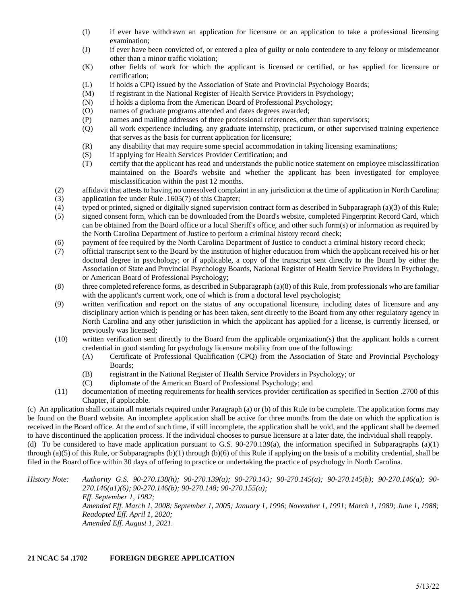- (I) if ever have withdrawn an application for licensure or an application to take a professional licensing examination;
- (J) if ever have been convicted of, or entered a plea of guilty or nolo contendere to any felony or misdemeanor other than a minor traffic violation;
- (K) other fields of work for which the applicant is licensed or certified, or has applied for licensure or certification;
- (L) if holds a CPQ issued by the Association of State and Provincial Psychology Boards;
- (M) if registrant in the National Register of Health Service Providers in Psychology;
- (N) if holds a diploma from the American Board of Professional Psychology;
- (O) names of graduate programs attended and dates degrees awarded;
- (P) names and mailing addresses of three professional references, other than supervisors;
- (Q) all work experience including, any graduate internship, practicum, or other supervised training experience that serves as the basis for current application for licensure;
- (R) any disability that may require some special accommodation in taking licensing examinations;
- (S) if applying for Health Services Provider Certification; and
- (T) certify that the applicant has read and understands the public notice statement on employee misclassification maintained on the Board's website and whether the applicant has been investigated for employee misclassification within the past 12 months.
- (2) affidavit that attests to having no unresolved complaint in any jurisdiction at the time of application in North Carolina;
- (3) application fee under Rule .1605(7) of this Chapter;
- (4) typed or printed, signed or digitally signed supervision contract form as described in Subparagraph (a)(3) of this Rule;
- (5) signed consent form, which can be downloaded from the Board's website, completed Fingerprint Record Card, which can be obtained from the Board office or a local Sheriff's office, and other such form(s) or information as required by the North Carolina Department of Justice to perform a criminal history record check;
- (6) payment of fee required by the North Carolina Department of Justice to conduct a criminal history record check;
- (7) official transcript sent to the Board by the institution of higher education from which the applicant received his or her doctoral degree in psychology; or if applicable, a copy of the transcript sent directly to the Board by either the Association of State and Provincial Psychology Boards, National Register of Health Service Providers in Psychology, or American Board of Professional Psychology;
- (8) three completed reference forms, as described in Subparagraph (a)(8) of this Rule, from professionals who are familiar with the applicant's current work, one of which is from a doctoral level psychologist;
- (9) written verification and report on the status of any occupational licensure, including dates of licensure and any disciplinary action which is pending or has been taken, sent directly to the Board from any other regulatory agency in North Carolina and any other jurisdiction in which the applicant has applied for a license, is currently licensed, or previously was licensed;
- (10) written verification sent directly to the Board from the applicable organization(s) that the applicant holds a current credential in good standing for psychology licensure mobility from one of the following:
	- (A) Certificate of Professional Qualification (CPQ) from the Association of State and Provincial Psychology Boards;
	- (B) registrant in the National Register of Health Service Providers in Psychology; or
	- (C) diplomate of the American Board of Professional Psychology; and
- (11) documentation of meeting requirements for health services provider certification as specified in Section .2700 of this Chapter, if applicable.

(c) An application shall contain all materials required under Paragraph (a) or (b) of this Rule to be complete. The application forms may be found on the Board website. An incomplete application shall be active for three months from the date on which the application is received in the Board office. At the end of such time, if still incomplete, the application shall be void, and the applicant shall be deemed to have discontinued the application process. If the individual chooses to pursue licensure at a later date, the individual shall reapply. (d) To be considered to have made application pursuant to G.S.  $90-270.139(a)$ , the information specified in Subparagraphs (a)(1)

through (a)(5) of this Rule, or Subparagraphs (b)(1) through (b)(6) of this Rule if applying on the basis of a mobility credential, shall be filed in the Board office within 30 days of offering to practice or undertaking the practice of psychology in North Carolina.

*History Note: Authority G.S. 90-270.138(h); 90-270.139(a); 90-270.143; 90-270.145(a); 90-270.145(b); 90-270.146(a); 90- 270.146(a1)(6); 90-270.146(b); 90-270.148; 90-270.155(a); Eff. September 1, 1982; Amended Eff. March 1, 2008; September 1, 2005; January 1, 1996; November 1, 1991; March 1, 1989; June 1, 1988; Readopted Eff. April 1, 2020; Amended Eff. August 1, 2021.*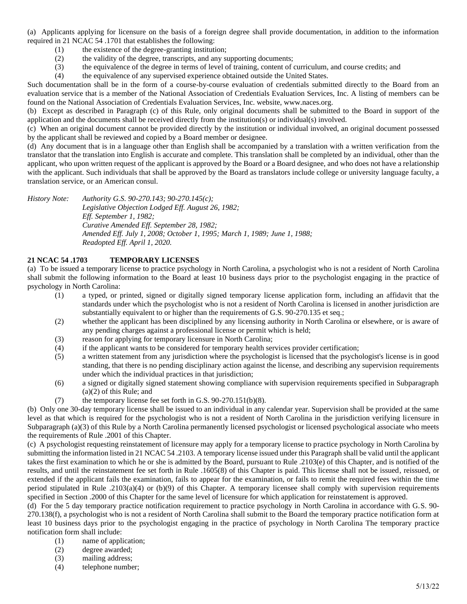(a) Applicants applying for licensure on the basis of a foreign degree shall provide documentation, in addition to the information required in 21 NCAC 54 .1701 that establishes the following:

- (1) the existence of the degree-granting institution;
- (2) the validity of the degree, transcripts, and any supporting documents;
- (3) the equivalence of the degree in terms of level of training, content of curriculum, and course credits; and
- (4) the equivalence of any supervised experience obtained outside the United States.

Such documentation shall be in the form of a course-by-course evaluation of credentials submitted directly to the Board from an evaluation service that is a member of the National Association of Credentials Evaluation Services, Inc. A listing of members can be found on the National Association of Credentials Evaluation Services, Inc. website, www.naces.org.

(b) Except as described in Paragraph (c) of this Rule, only original documents shall be submitted to the Board in support of the application and the documents shall be received directly from the institution(s) or individual(s) involved.

(c) When an original document cannot be provided directly by the institution or individual involved, an original document possessed by the applicant shall be reviewed and copied by a Board member or designee.

(d) Any document that is in a language other than English shall be accompanied by a translation with a written verification from the translator that the translation into English is accurate and complete. This translation shall be completed by an individual, other than the applicant, who upon written request of the applicant is approved by the Board or a Board designee, and who does not have a relationship with the applicant. Such individuals that shall be approved by the Board as translators include college or university language faculty, a translation service, or an American consul.

*History Note: Authority G.S. 90-270.143; 90-270.145(c);*

*Legislative Objection Lodged Eff. August 26, 1982; Eff. September 1, 1982; Curative Amended Eff. September 28, 1982; Amended Eff. July 1, 2008; October 1, 1995; March 1, 1989; June 1, 1988; Readopted Eff. April 1, 2020.*

# **21 NCAC 54 .1703 TEMPORARY LICENSES**

(a) To be issued a temporary license to practice psychology in North Carolina, a psychologist who is not a resident of North Carolina shall submit the following information to the Board at least 10 business days prior to the psychologist engaging in the practice of psychology in North Carolina:

- (1) a typed, or printed, signed or digitally signed temporary license application form, including an affidavit that the standards under which the psychologist who is not a resident of North Carolina is licensed in another jurisdiction are substantially equivalent to or higher than the requirements of G.S. 90-270.135 et seq.;
- (2) whether the applicant has been disciplined by any licensing authority in North Carolina or elsewhere, or is aware of any pending charges against a professional license or permit which is held;
- (3) reason for applying for temporary licensure in North Carolina;
- (4) if the applicant wants to be considered for temporary health services provider certification;
- (5) a written statement from any jurisdiction where the psychologist is licensed that the psychologist's license is in good standing, that there is no pending disciplinary action against the license, and describing any supervision requirements under which the individual practices in that jurisdiction;
- (6) a signed or digitally signed statement showing compliance with supervision requirements specified in Subparagraph (a)(2) of this Rule; and
- (7) the temporary license fee set forth in G.S.  $90-270.151(b)(8)$ .

(b) Only one 30-day temporary license shall be issued to an individual in any calendar year. Supervision shall be provided at the same level as that which is required for the psychologist who is not a resident of North Carolina in the jurisdiction verifying licensure in Subparagraph (a)(3) of this Rule by a North Carolina permanently licensed psychologist or licensed psychological associate who meets the requirements of Rule .2001 of this Chapter.

(c) A psychologist requesting reinstatement of licensure may apply for a temporary license to practice psychology in North Carolina by submitting the information listed in 21 NCAC 54 .2103. A temporary license issued under this Paragraph shall be valid until the applicant takes the first examination to which he or she is admitted by the Board, pursuant to Rule .2103(e) of this Chapter, and is notified of the results, and until the reinstatement fee set forth in Rule .1605(8) of this Chapter is paid. This license shall not be issued, reissued, or extended if the applicant fails the examination, fails to appear for the examination, or fails to remit the required fees within the time period stipulated in Rule .2103(a)(4) or (b)(9) of this Chapter. A temporary licensee shall comply with supervision requirements specified in Section .2000 of this Chapter for the same level of licensure for which application for reinstatement is approved.

(d) For the 5 day temporary practice notification requirement to practice psychology in North Carolina in accordance with G.S. 90- 270.138(f), a psychologist who is not a resident of North Carolina shall submit to the Board the temporary practice notification form at least 10 business days prior to the psychologist engaging in the practice of psychology in North Carolina The temporary practice notification form shall include:

- (1) name of application;
- (2) degree awarded;
- (3) mailing address;
- (4) telephone number;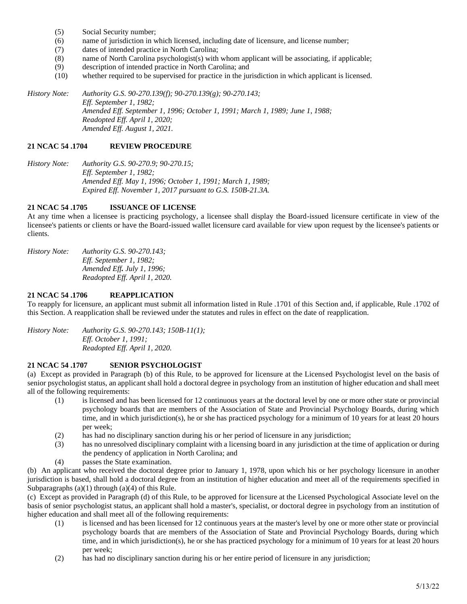- (5) Social Security number;
- (6) name of jurisdiction in which licensed, including date of licensure, and license number;
- (7) dates of intended practice in North Carolina;
- (8) name of North Carolina psychologist(s) with whom applicant will be associating, if applicable;
- (9) description of intended practice in North Carolina; and
- (10) whether required to be supervised for practice in the jurisdiction in which applicant is licensed.

*History Note: Authority G.S. 90-270.139(f); 90-270.139(g); 90-270.143; Eff. September 1, 1982; Amended Eff. September 1, 1996; October 1, 1991; March 1, 1989; June 1, 1988; Readopted Eff. April 1, 2020; Amended Eff. August 1, 2021.*

#### **21 NCAC 54 .1704 REVIEW PROCEDURE**

*History Note: Authority G.S. 90-270.9; 90-270.15; Eff. September 1, 1982; Amended Eff. May 1, 1996; October 1, 1991; March 1, 1989; Expired Eff. November 1, 2017 pursuant to G.S. 150B-21.3A.*

# **21 NCAC 54 .1705 ISSUANCE OF LICENSE**

At any time when a licensee is practicing psychology, a licensee shall display the Board-issued licensure certificate in view of the licensee's patients or clients or have the Board-issued wallet licensure card available for view upon request by the licensee's patients or clients.

*History Note: Authority G.S. 90-270.143; Eff. September 1, 1982; Amended Eff. July 1, 1996; Readopted Eff. April 1, 2020.*

# **21 NCAC 54 .1706 REAPPLICATION**

To reapply for licensure, an applicant must submit all information listed in Rule .1701 of this Section and, if applicable, Rule .1702 of this Section. A reapplication shall be reviewed under the statutes and rules in effect on the date of reapplication.

*History Note: Authority G.S. 90-270.143; 150B-11(1); Eff. October 1, 1991; Readopted Eff. April 1, 2020.*

# **21 NCAC 54 .1707 SENIOR PSYCHOLOGIST**

(a) Except as provided in Paragraph (b) of this Rule, to be approved for licensure at the Licensed Psychologist level on the basis of senior psychologist status, an applicant shall hold a doctoral degree in psychology from an institution of higher education and shall meet all of the following requirements:

- (1) is licensed and has been licensed for 12 continuous years at the doctoral level by one or more other state or provincial psychology boards that are members of the Association of State and Provincial Psychology Boards, during which time, and in which jurisdiction(s), he or she has practiced psychology for a minimum of 10 years for at least 20 hours per week;
- (2) has had no disciplinary sanction during his or her period of licensure in any jurisdiction;
- (3) has no unresolved disciplinary complaint with a licensing board in any jurisdiction at the time of application or during the pendency of application in North Carolina; and
- (4) passes the State examination.

(b) An applicant who received the doctoral degree prior to January 1, 1978, upon which his or her psychology licensure in another jurisdiction is based, shall hold a doctoral degree from an institution of higher education and meet all of the requirements specified in Subparagraphs  $(a)(1)$  through  $(a)(4)$  of this Rule.

(c) Except as provided in Paragraph (d) of this Rule, to be approved for licensure at the Licensed Psychological Associate level on the basis of senior psychologist status, an applicant shall hold a master's, specialist, or doctoral degree in psychology from an institution of higher education and shall meet all of the following requirements:

- (1) is licensed and has been licensed for 12 continuous years at the master's level by one or more other state or provincial psychology boards that are members of the Association of State and Provincial Psychology Boards, during which time, and in which jurisdiction(s), he or she has practiced psychology for a minimum of 10 years for at least 20 hours per week;
- (2) has had no disciplinary sanction during his or her entire period of licensure in any jurisdiction;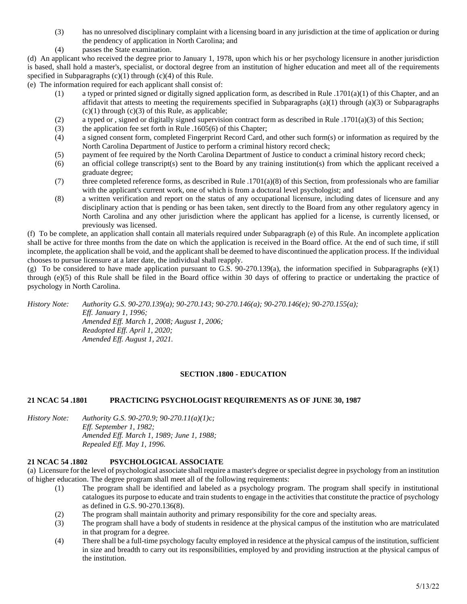- (3) has no unresolved disciplinary complaint with a licensing board in any jurisdiction at the time of application or during the pendency of application in North Carolina; and
- (4) passes the State examination.

(d) An applicant who received the degree prior to January 1, 1978, upon which his or her psychology licensure in another jurisdiction is based, shall hold a master's, specialist, or doctoral degree from an institution of higher education and meet all of the requirements specified in Subparagraphs  $(c)(1)$  through  $(c)(4)$  of this Rule.

(e) The information required for each applicant shall consist of:

- (1) a typed or printed signed or digitally signed application form, as described in Rule .1701(a)(1) of this Chapter, and an affidavit that attests to meeting the requirements specified in Subparagraphs  $(a)(1)$  through  $(a)(3)$  or Subparagraphs  $(c)(1)$  through  $(c)(3)$  of this Rule, as applicable;
- (2) a typed or , signed or digitally signed supervision contract form as described in Rule .1701(a)(3) of this Section;
- (3) the application fee set forth in Rule .1605(6) of this Chapter;
- (4) a signed consent form, completed Fingerprint Record Card, and other such form(s) or information as required by the North Carolina Department of Justice to perform a criminal history record check;
- (5) payment of fee required by the North Carolina Department of Justice to conduct a criminal history record check;
- (6) an official college transcript(s) sent to the Board by any training institution(s) from which the applicant received a graduate degree;
- (7) three completed reference forms, as described in Rule .1701(a)(8) of this Section, from professionals who are familiar with the applicant's current work, one of which is from a doctoral level psychologist; and
- (8) a written verification and report on the status of any occupational licensure, including dates of licensure and any disciplinary action that is pending or has been taken, sent directly to the Board from any other regulatory agency in North Carolina and any other jurisdiction where the applicant has applied for a license, is currently licensed, or previously was licensed.

(f) To be complete, an application shall contain all materials required under Subparagraph (e) of this Rule. An incomplete application shall be active for three months from the date on which the application is received in the Board office. At the end of such time, if still incomplete, the application shall be void, and the applicant shall be deemed to have discontinued the application process. If the individual chooses to pursue licensure at a later date, the individual shall reapply.

(g) To be considered to have made application pursuant to G.S. 90-270.139(a), the information specified in Subparagraphs (e)(1) through (e)(5) of this Rule shall be filed in the Board office within 30 days of offering to practice or undertaking the practice of psychology in North Carolina.

*History Note: Authority G.S. 90-270.139(a); 90-270.143; 90-270.146(a); 90-270.146(e); 90-270.155(a); Eff. January 1, 1996; Amended Eff. March 1, 2008; August 1, 2006; Readopted Eff. April 1, 2020; Amended Eff. August 1, 2021.*

# **SECTION .1800 - EDUCATION**

# **21 NCAC 54 .1801 PRACTICING PSYCHOLOGIST REQUIREMENTS AS OF JUNE 30, 1987**

*History Note: Authority G.S. 90-270.9; 90-270.11(a)(1)c; Eff. September 1, 1982; Amended Eff. March 1, 1989; June 1, 1988; Repealed Eff. May 1, 1996.*

# **21 NCAC 54 .1802 PSYCHOLOGICAL ASSOCIATE**

(a) Licensure for the level of psychological associate shall require a master's degree or specialist degree in psychology from an institution of higher education. The degree program shall meet all of the following requirements:

- (1) The program shall be identified and labeled as a psychology program. The program shall specify in institutional catalogues its purpose to educate and train students to engage in the activities that constitute the practice of psychology as defined in G.S. 90-270.136(8).
- (2) The program shall maintain authority and primary responsibility for the core and specialty areas.
- (3) The program shall have a body of students in residence at the physical campus of the institution who are matriculated in that program for a degree.
- (4) There shall be a full-time psychology faculty employed in residence at the physical campus of the institution, sufficient in size and breadth to carry out its responsibilities, employed by and providing instruction at the physical campus of the institution.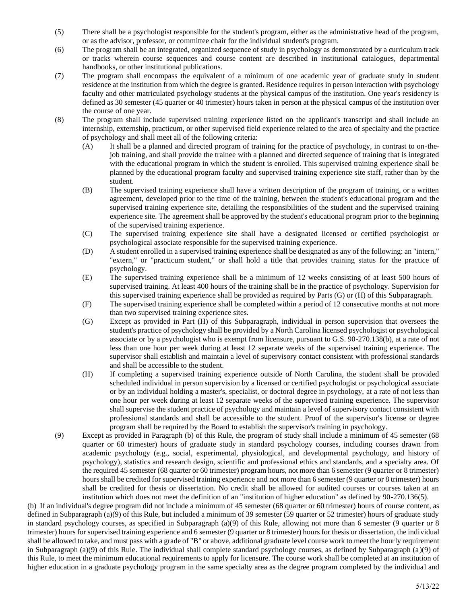- (5) There shall be a psychologist responsible for the student's program, either as the administrative head of the program, or as the advisor, professor, or committee chair for the individual student's program.
- (6) The program shall be an integrated, organized sequence of study in psychology as demonstrated by a curriculum track or tracks wherein course sequences and course content are described in institutional catalogues, departmental handbooks, or other institutional publications.
- (7) The program shall encompass the equivalent of a minimum of one academic year of graduate study in student residence at the institution from which the degree is granted. Residence requires in person interaction with psychology faculty and other matriculated psychology students at the physical campus of the institution. One year's residency is defined as 30 semester (45 quarter or 40 trimester) hours taken in person at the physical campus of the institution over the course of one year.
- (8) The program shall include supervised training experience listed on the applicant's transcript and shall include an internship, externship, practicum, or other supervised field experience related to the area of specialty and the practice of psychology and shall meet all of the following criteria:
	- (A) It shall be a planned and directed program of training for the practice of psychology, in contrast to on-thejob training, and shall provide the trainee with a planned and directed sequence of training that is integrated with the educational program in which the student is enrolled. This supervised training experience shall be planned by the educational program faculty and supervised training experience site staff, rather than by the student.
	- (B) The supervised training experience shall have a written description of the program of training, or a written agreement, developed prior to the time of the training, between the student's educational program and the supervised training experience site, detailing the responsibilities of the student and the supervised training experience site. The agreement shall be approved by the student's educational program prior to the beginning of the supervised training experience.
	- (C) The supervised training experience site shall have a designated licensed or certified psychologist or psychological associate responsible for the supervised training experience.
	- (D) A student enrolled in a supervised training experience shall be designated as any of the following: an "intern," "extern," or "practicum student," or shall hold a title that provides training status for the practice of psychology.
	- (E) The supervised training experience shall be a minimum of 12 weeks consisting of at least 500 hours of supervised training. At least 400 hours of the training shall be in the practice of psychology. Supervision for this supervised training experience shall be provided as required by Parts (G) or (H) of this Subparagraph.
	- (F) The supervised training experience shall be completed within a period of 12 consecutive months at not more than two supervised training experience sites.
	- (G) Except as provided in Part (H) of this Subparagraph, individual in person supervision that oversees the student's practice of psychology shall be provided by a North Carolina licensed psychologist or psychological associate or by a psychologist who is exempt from licensure, pursuant to G.S. 90-270.138(b), at a rate of not less than one hour per week during at least 12 separate weeks of the supervised training experience. The supervisor shall establish and maintain a level of supervisory contact consistent with professional standards and shall be accessible to the student.
	- (H) If completing a supervised training experience outside of North Carolina, the student shall be provided scheduled individual in person supervision by a licensed or certified psychologist or psychological associate or by an individual holding a master's, specialist, or doctoral degree in psychology, at a rate of not less than one hour per week during at least 12 separate weeks of the supervised training experience. The supervisor shall supervise the student practice of psychology and maintain a level of supervisory contact consistent with professional standards and shall be accessible to the student. Proof of the supervisor's license or degree program shall be required by the Board to establish the supervisor's training in psychology.
- (9) Except as provided in Paragraph (b) of this Rule, the program of study shall include a minimum of 45 semester (68 quarter or 60 trimester) hours of graduate study in standard psychology courses, including courses drawn from academic psychology (e.g., social, experimental, physiological, and developmental psychology, and history of psychology), statistics and research design, scientific and professional ethics and standards, and a specialty area. Of the required 45 semester (68 quarter or 60 trimester) program hours, not more than 6 semester (9 quarter or 8 trimester) hours shall be credited for supervised training experience and not more than 6 semester (9 quarter or 8 trimester) hours shall be credited for thesis or dissertation. No credit shall be allowed for audited courses or courses taken at an institution which does not meet the definition of an "institution of higher education" as defined by 90-270.136(5).

(b) If an individual's degree program did not include a minimum of 45 semester (68 quarter or 60 trimester) hours of course content, as defined in Subparagraph (a)(9) of this Rule, but included a minimum of 39 semester (59 quarter or 52 trimester) hours of graduate study in standard psychology courses, as specified in Subparagraph (a)(9) of this Rule, allowing not more than 6 semester (9 quarter or 8 trimester) hours for supervised training experience and 6 semester (9 quarter or 8 trimester) hours for thesis or dissertation, the individual shall be allowed to take, and must pass with a grade of "B" or above, additional graduate level course work to meet the hourly requirement in Subparagraph (a)(9) of this Rule. The individual shall complete standard psychology courses, as defined by Subparagraph (a)(9) of this Rule, to meet the minimum educational requirements to apply for licensure. The course work shall be completed at an institution of higher education in a graduate psychology program in the same specialty area as the degree program completed by the individual and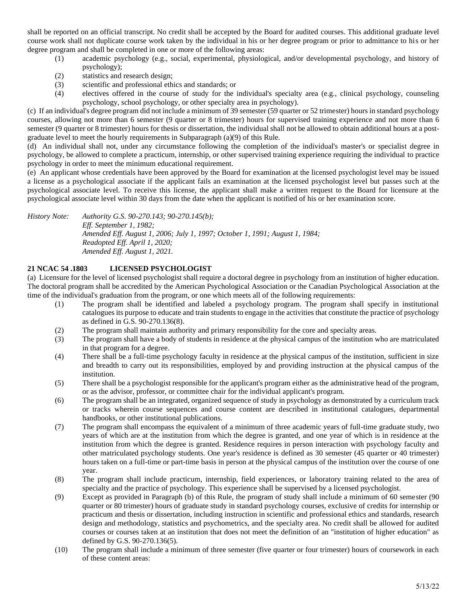shall be reported on an official transcript. No credit shall be accepted by the Board for audited courses. This additional graduate level course work shall not duplicate course work taken by the individual in his or her degree program or prior to admittance to his or her degree program and shall be completed in one or more of the following areas:

- (1) academic psychology (e.g., social, experimental, physiological, and/or developmental psychology, and history of psychology);
- (2) statistics and research design;
- (3) scientific and professional ethics and standards; or
- (4) electives offered in the course of study for the individual's specialty area (e.g., clinical psychology, counseling psychology, school psychology, or other specialty area in psychology).

(c) If an individual's degree program did not include a minimum of 39 semester (59 quarter or 52 trimester) hours in standard psychology courses, allowing not more than 6 semester (9 quarter or 8 trimester) hours for supervised training experience and not more than 6 semester (9 quarter or 8 trimester) hours for thesis or dissertation, the individual shall not be allowed to obtain additional hours at a postgraduate level to meet the hourly requirements in Subparagraph (a)(9) of this Rule.

(d) An individual shall not, under any circumstance following the completion of the individual's master's or specialist degree in psychology, be allowed to complete a practicum, internship, or other supervised training experience requiring the individual to practice psychology in order to meet the minimum educational requirement.

(e) An applicant whose credentials have been approved by the Board for examination at the licensed psychologist level may be issued a license as a psychological associate if the applicant fails an examination at the licensed psychologist level but passes such at the psychological associate level. To receive this license, the applicant shall make a written request to the Board for licensure at the psychological associate level within 30 days from the date when the applicant is notified of his or her examination score.

*History Note: Authority G.S. 90-270.143; 90-270.145(b); Eff. September 1, 1982; Amended Eff. August 1, 2006; July 1, 1997; October 1, 1991; August 1, 1984; Readopted Eff. April 1, 2020; Amended Eff. August 1, 2021.*

# **21 NCAC 54 .1803 LICENSED PSYCHOLOGIST**

(a) Licensure for the level of licensed psychologist shall require a doctoral degree in psychology from an institution of higher education. The doctoral program shall be accredited by the American Psychological Association or the Canadian Psychological Association at the time of the individual's graduation from the program, or one which meets all of the following requirements:

- (1) The program shall be identified and labeled a psychology program. The program shall specify in institutional catalogues its purpose to educate and train students to engage in the activities that constitute the practice of psychology as defined in G.S. 90-270.136(8).
- (2) The program shall maintain authority and primary responsibility for the core and specialty areas.
- (3) The program shall have a body of students in residence at the physical campus of the institution who are matriculated in that program for a degree.
- (4) There shall be a full-time psychology faculty in residence at the physical campus of the institution, sufficient in size and breadth to carry out its responsibilities, employed by and providing instruction at the physical campus of the institution.
- (5) There shall be a psychologist responsible for the applicant's program either as the administrative head of the program, or as the advisor, professor, or committee chair for the individual applicant's program.
- (6) The program shall be an integrated, organized sequence of study in psychology as demonstrated by a curriculum track or tracks wherein course sequences and course content are described in institutional catalogues, departmental handbooks, or other institutional publications.
- (7) The program shall encompass the equivalent of a minimum of three academic years of full-time graduate study, two years of which are at the institution from which the degree is granted, and one year of which is in residence at the institution from which the degree is granted. Residence requires in person interaction with psychology faculty and other matriculated psychology students. One year's residence is defined as 30 semester (45 quarter or 40 trimester) hours taken on a full-time or part-time basis in person at the physical campus of the institution over the course of one year.
- (8) The program shall include practicum, internship, field experiences, or laboratory training related to the area of specialty and the practice of psychology. This experience shall be supervised by a licensed psychologist.
- (9) Except as provided in Paragraph (b) of this Rule, the program of study shall include a minimum of 60 semester (90 quarter or 80 trimester) hours of graduate study in standard psychology courses, exclusive of credits for internship or practicum and thesis or dissertation, including instruction in scientific and professional ethics and standards, research design and methodology, statistics and psychometrics, and the specialty area. No credit shall be allowed for audited courses or courses taken at an institution that does not meet the definition of an "institution of higher education" as defined by G.S. 90-270.136(5).
- (10) The program shall include a minimum of three semester (five quarter or four trimester) hours of coursework in each of these content areas: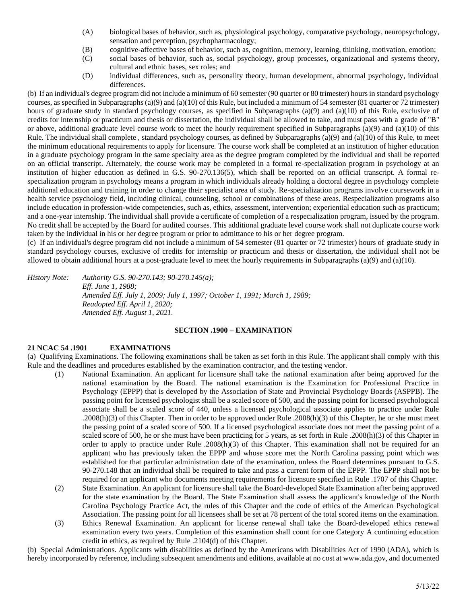- (A) biological bases of behavior, such as, physiological psychology, comparative psychology, neuropsychology, sensation and perception, psychopharmacology;
- (B) cognitive-affective bases of behavior, such as, cognition, memory, learning, thinking, motivation, emotion;
- (C) social bases of behavior, such as, social psychology, group processes, organizational and systems theory, cultural and ethnic bases, sex roles; and
- (D) individual differences, such as, personality theory, human development, abnormal psychology, individual differences.

(b) If an individual's degree program did not include a minimum of 60 semester (90 quarter or 80 trimester) hours in standard psychology courses, as specified in Subparagraphs (a)(9) and (a)(10) of this Rule, but included a minimum of 54 semester (81 quarter or 72 trimester) hours of graduate study in standard psychology courses, as specified in Subparagraphs (a)(9) and (a)(10) of this Rule, exclusive of credits for internship or practicum and thesis or dissertation, the individual shall be allowed to take, and must pass with a grade of "B" or above, additional graduate level course work to meet the hourly requirement specified in Subparagraphs (a)(9) and (a)(10) of this Rule. The individual shall complete , standard psychology courses, as defined by Subparagraphs (a)(9) and (a)(10) of this Rule, to meet the minimum educational requirements to apply for licensure. The course work shall be completed at an institution of higher education in a graduate psychology program in the same specialty area as the degree program completed by the individual and shall be reported on an official transcript. Alternately, the course work may be completed in a formal re-specialization program in psychology at an institution of higher education as defined in G.S. 90-270.136(5), which shall be reported on an official transcript. A formal respecialization program in psychology means a program in which individuals already holding a doctoral degree in psychology complete additional education and training in order to change their specialist area of study. Re-specialization programs involve coursework in a health service psychology field, including clinical, counseling, school or combinations of these areas. Respecialization programs also include education in profession-wide competencies, such as, ethics, assessment, intervention; experiential education such as practicum; and a one-year internship. The individual shall provide a certificate of completion of a respecialization program, issued by the program. No credit shall be accepted by the Board for audited courses. This additional graduate level course work shall not duplicate course work taken by the individual in his or her degree program or prior to admittance to his or her degree program.

(c) If an individual's degree program did not include a minimum of 54 semester (81 quarter or 72 trimester) hours of graduate study in standard psychology courses, exclusive of credits for internship or practicum and thesis or dissertation, the individual shall not be allowed to obtain additional hours at a post-graduate level to meet the hourly requirements in Subparagraphs (a)(9) and (a)(10).

*History Note: Authority G.S. 90-270.143; 90-270.145(a); Eff. June 1, 1988; Amended Eff. July 1, 2009; July 1, 1997; October 1, 1991; March 1, 1989; Readopted Eff. April 1, 2020; Amended Eff. August 1, 2021.*

#### **SECTION .1900 – EXAMINATION**

# **21 NCAC 54 .1901 EXAMINATIONS**

(a) Qualifying Examinations. The following examinations shall be taken as set forth in this Rule. The applicant shall comply with this Rule and the deadlines and procedures established by the examination contractor, and the testing vendor.

- (1) National Examination. An applicant for licensure shall take the national examination after being approved for the national examination by the Board. The national examination is the Examination for Professional Practice in Psychology (EPPP) that is developed by the Association of State and Provincial Psychology Boards (ASPPB). The passing point for licensed psychologist shall be a scaled score of 500, and the passing point for licensed psychological associate shall be a scaled score of 440, unless a licensed psychological associate applies to practice under Rule .2008(h)(3) of this Chapter. Then in order to be approved under Rule .2008(h)(3) of this Chapter, he or she must meet the passing point of a scaled score of 500. If a licensed psychological associate does not meet the passing point of a scaled score of 500, he or she must have been practicing for 5 years, as set forth in Rule .2008(h)(3) of this Chapter in order to apply to practice under Rule .2008(h)(3) of this Chapter. This examination shall not be required for an applicant who has previously taken the EPPP and whose score met the North Carolina passing point which was established for that particular administration date of the examination, unless the Board determines pursuant to G.S. 90-270.148 that an individual shall be required to take and pass a current form of the EPPP. The EPPP shall not be required for an applicant who documents meeting requirements for licensure specified in Rule .1707 of this Chapter.
- (2) State Examination. An applicant for licensure shall take the Board-developed State Examination after being approved for the state examination by the Board. The State Examination shall assess the applicant's knowledge of the North Carolina Psychology Practice Act, the rules of this Chapter and the code of ethics of the American Psychological Association. The passing point for all licensees shall be set at 78 percent of the total scored items on the examination.
- (3) Ethics Renewal Examination. An applicant for license renewal shall take the Board-developed ethics renewal examination every two years. Completion of this examination shall count for one Category A continuing education credit in ethics, as required by Rule .2104(d) of this Chapter.

(b) Special Administrations. Applicants with disabilities as defined by the Americans with Disabilities Act of 1990 (ADA), which is hereby incorporated by reference, including subsequent amendments and editions, available at no cost at www.ada.gov, and documented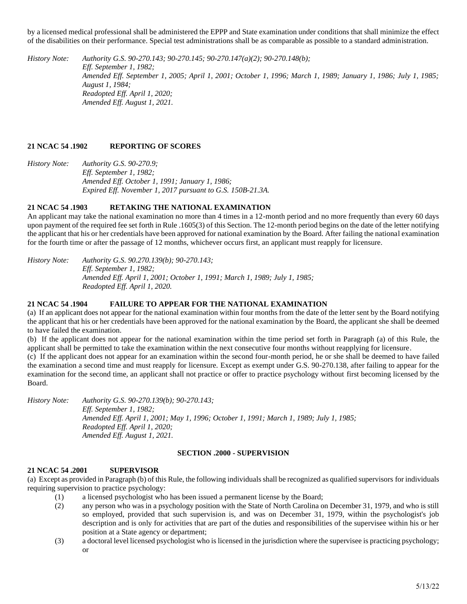by a licensed medical professional shall be administered the EPPP and State examination under conditions that shall minimize the effect of the disabilities on their performance. Special test administrations shall be as comparable as possible to a standard administration.

*History Note: Authority G.S. 90-270.143; 90-270.145; 90-270.147(a)(2); 90-270.148(b); Eff. September 1, 1982; Amended Eff. September 1, 2005; April 1, 2001; October 1, 1996; March 1, 1989; January 1, 1986; July 1, 1985; August 1, 1984; Readopted Eff. April 1, 2020; Amended Eff. August 1, 2021.*

# **21 NCAC 54 .1902 REPORTING OF SCORES**

*History Note: Authority G.S. 90-270.9; Eff. September 1, 1982; Amended Eff. October 1, 1991; January 1, 1986; Expired Eff. November 1, 2017 pursuant to G.S. 150B-21.3A.*

# **21 NCAC 54 .1903 RETAKING THE NATIONAL EXAMINATION**

An applicant may take the national examination no more than 4 times in a 12-month period and no more frequently than every 60 days upon payment of the required fee set forth in Rule .1605(3) of this Section. The 12-month period begins on the date of the letter notifying the applicant that his or her credentials have been approved for national examination by the Board. After failing the national examination for the fourth time or after the passage of 12 months, whichever occurs first, an applicant must reapply for licensure.

*History Note: Authority G.S. 90.270.139(b); 90-270.143; Eff. September 1, 1982; Amended Eff. April 1, 2001; October 1, 1991; March 1, 1989; July 1, 1985; Readopted Eff. April 1, 2020.*

# **21 NCAC 54 .1904 FAILURE TO APPEAR FOR THE NATIONAL EXAMINATION**

(a) If an applicant does not appear for the national examination within four months from the date of the letter sent by the Board notifying the applicant that his or her credentials have been approved for the national examination by the Board, the applicant she shall be deemed to have failed the examination.

(b) If the applicant does not appear for the national examination within the time period set forth in Paragraph (a) of this Rule, the applicant shall be permitted to take the examination within the next consecutive four months without reapplying for licensure.

(c) If the applicant does not appear for an examination within the second four-month period, he or she shall be deemed to have failed the examination a second time and must reapply for licensure. Except as exempt under G.S. 90-270.138, after failing to appear for the examination for the second time, an applicant shall not practice or offer to practice psychology without first becoming licensed by the Board.

*History Note: Authority G.S. 90-270.139(b); 90-270.143; Eff. September 1, 1982; Amended Eff. April 1, 2001; May 1, 1996; October 1, 1991; March 1, 1989; July 1, 1985; Readopted Eff. April 1, 2020; Amended Eff. August 1, 2021.*

# **SECTION .2000 - SUPERVISION**

# **21 NCAC 54 .2001 SUPERVISOR**

(a) Except as provided in Paragraph (b) of this Rule, the following individuals shall be recognized as qualified supervisors for individuals requiring supervision to practice psychology:

- (1) a licensed psychologist who has been issued a permanent license by the Board;
- (2) any person who was in a psychology position with the State of North Carolina on December 31, 1979, and who is still so employed, provided that such supervision is, and was on December 31, 1979, within the psychologist's job description and is only for activities that are part of the duties and responsibilities of the supervisee within his or her position at a State agency or department;
- (3) a doctoral level licensed psychologist who is licensed in the jurisdiction where the supervisee is practicing psychology; or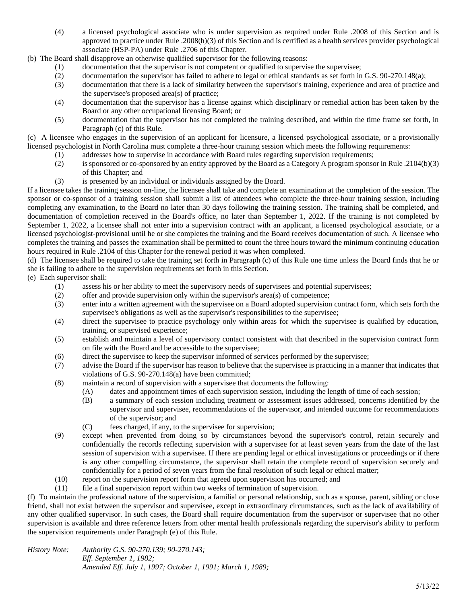(4) a licensed psychological associate who is under supervision as required under Rule .2008 of this Section and is approved to practice under Rule .2008(h)(3) of this Section and is certified as a health services provider psychological associate (HSP-PA) under Rule .2706 of this Chapter.

(b) The Board shall disapprove an otherwise qualified supervisor for the following reasons:

- (1) documentation that the supervisor is not competent or qualified to supervise the supervisee;<br>(2) documentation the supervisor has failed to adhere to legal or ethical standards as set forth in
- documentation the supervisor has failed to adhere to legal or ethical standards as set forth in G.S. 90-270.148(a);
- (3) documentation that there is a lack of similarity between the supervisor's training, experience and area of practice and the supervisee's proposed area(s) of practice;
- (4) documentation that the supervisor has a license against which disciplinary or remedial action has been taken by the Board or any other occupational licensing Board; or
- (5) documentation that the supervisor has not completed the training described, and within the time frame set forth, in Paragraph (c) of this Rule.

(c) A licensee who engages in the supervision of an applicant for licensure, a licensed psychological associate, or a provisionally licensed psychologist in North Carolina must complete a three-hour training session which meets the following requirements:

- (1) addresses how to supervise in accordance with Board rules regarding supervision requirements;
- (2) is sponsored or co-sponsored by an entity approved by the Board as a Category A program sponsor in Rule .2104(b)(3) of this Chapter; and
- (3) is presented by an individual or individuals assigned by the Board.

If a licensee takes the training session on-line, the licensee shall take and complete an examination at the completion of the session. The sponsor or co-sponsor of a training session shall submit a list of attendees who complete the three-hour training session, including completing any examination, to the Board no later than 30 days following the training session. The training shall be completed, and documentation of completion received in the Board's office, no later than September 1, 2022. If the training is not completed by September 1, 2022, a licensee shall not enter into a supervision contract with an applicant, a licensed psychological associate, or a licensed psychologist-provisional until he or she completes the training and the Board receives documentation of such. A licensee who completes the training and passes the examination shall be permitted to count the three hours toward the minimum continuing education hours required in Rule .2104 of this Chapter for the renewal period it was when completed.

(d) The licensee shall be required to take the training set forth in Paragraph (c) of this Rule one time unless the Board finds that he or she is failing to adhere to the supervision requirements set forth in this Section.

- (e) Each supervisor shall:
	- (1) assess his or her ability to meet the supervisory needs of supervisees and potential supervisees;
	- (2) offer and provide supervision only within the supervisor's area(s) of competence;
	- (3) enter into a written agreement with the supervisee on a Board adopted supervision contract form, which sets forth the supervisee's obligations as well as the supervisor's responsibilities to the supervisee;
	- (4) direct the supervisee to practice psychology only within areas for which the supervisee is qualified by education, training, or supervised experience;
	- (5) establish and maintain a level of supervisory contact consistent with that described in the supervision contract form on file with the Board and be accessible to the supervisee;
	- (6) direct the supervisee to keep the supervisor informed of services performed by the supervisee;
	- (7) advise the Board if the supervisor has reason to believe that the supervisee is practicing in a manner that indicates that violations of G.S. 90-270.148(a) have been committed;
	- (8) maintain a record of supervision with a supervisee that documents the following:
		- (A) dates and appointment times of each supervision session, including the length of time of each session;
		- (B) a summary of each session including treatment or assessment issues addressed, concerns identified by the supervisor and supervisee, recommendations of the supervisor, and intended outcome for recommendations of the supervisor; and
		- (C) fees charged, if any, to the supervisee for supervision;
	- (9) except when prevented from doing so by circumstances beyond the supervisor's control, retain securely and confidentially the records reflecting supervision with a supervisee for at least seven years from the date of the last session of supervision with a supervisee. If there are pending legal or ethical investigations or proceedings or if there is any other compelling circumstance, the supervisor shall retain the complete record of supervision securely and confidentially for a period of seven years from the final resolution of such legal or ethical matter;
	- (10) report on the supervision report form that agreed upon supervision has occurred; and
	- (11) file a final supervision report within two weeks of termination of supervision.

(f) To maintain the professional nature of the supervision, a familial or personal relationship, such as a spouse, parent, sibling or close friend, shall not exist between the supervisor and supervisee, except in extraordinary circumstances, such as the lack of availability of any other qualified supervisor. In such cases, the Board shall require documentation from the supervisor or supervisee that no other supervision is available and three reference letters from other mental health professionals regarding the supervisor's ability to perform the supervision requirements under Paragraph (e) of this Rule.

*History Note: Authority G.S. 90-270.139; 90-270.143; Eff. September 1, 1982; Amended Eff. July 1, 1997; October 1, 1991; March 1, 1989;*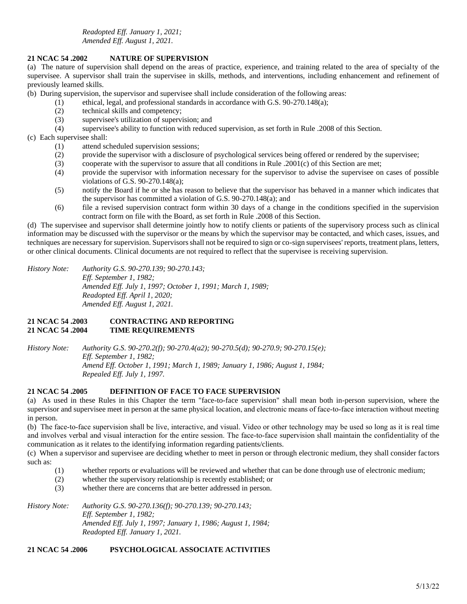*Readopted Eff. January 1, 2021; Amended Eff. August 1, 2021.*

### **21 NCAC 54 .2002 NATURE OF SUPERVISION**

(a) The nature of supervision shall depend on the areas of practice, experience, and training related to the area of specialty of the supervisee. A supervisor shall train the supervisee in skills, methods, and interventions, including enhancement and refinement of previously learned skills.

(b) During supervision, the supervisor and supervisee shall include consideration of the following areas:

- (1) ethical, legal, and professional standards in accordance with G.S. 90-270.148(a);
- (2) technical skills and competency;
- (3) supervisee's utilization of supervision; and
- (4) supervisee's ability to function with reduced supervision, as set forth in Rule .2008 of this Section.

### (c) Each supervisee shall:

- (1) attend scheduled supervision sessions;
- (2) provide the supervisor with a disclosure of psychological services being offered or rendered by the supervisee;
- (3) cooperate with the supervisor to assure that all conditions in Rule .2001(c) of this Section are met;
- (4) provide the supervisor with information necessary for the supervisor to advise the supervisee on cases of possible violations of G.S. 90-270.148(a);
- (5) notify the Board if he or she has reason to believe that the supervisor has behaved in a manner which indicates that the supervisor has committed a violation of G.S. 90-270.148(a); and
- (6) file a revised supervision contract form within 30 days of a change in the conditions specified in the supervision contract form on file with the Board, as set forth in Rule .2008 of this Section.

(d) The supervisee and supervisor shall determine jointly how to notify clients or patients of the supervisory process such as clinical information may be discussed with the supervisor or the means by which the supervisor may be contacted, and which cases, issues, and techniques are necessary for supervision. Supervisors shall not be required to sign or co-sign supervisees' reports, treatment plans, letters, or other clinical documents. Clinical documents are not required to reflect that the supervisee is receiving supervision.

*History Note: Authority G.S. 90-270.139; 90-270.143; Eff. September 1, 1982; Amended Eff. July 1, 1997; October 1, 1991; March 1, 1989; Readopted Eff. April 1, 2020; Amended Eff. August 1, 2021.*

# **21 NCAC 54 .2003 CONTRACTING AND REPORTING 21 NCAC 54 .2004 TIME REQUIREMENTS**

*History Note: Authority G.S. 90-270.2(f); 90-270.4(a2); 90-270.5(d); 90-270.9; 90-270.15(e); Eff. September 1, 1982; Amend Eff. October 1, 1991; March 1, 1989; January 1, 1986; August 1, 1984; Repealed Eff. July 1, 1997.*

# **21 NCAC 54 .2005 DEFINITION OF FACE TO FACE SUPERVISION**

(a) As used in these Rules in this Chapter the term "face-to-face supervision" shall mean both in-person supervision, where the supervisor and supervisee meet in person at the same physical location, and electronic means of face-to-face interaction without meeting in person.

(b) The face‐to‐face supervision shall be live, interactive, and visual. Video or other technology may be used so long as it is real time and involves verbal and visual interaction for the entire session. The face‐to‐face supervision shall maintain the confidentiality of the communication as it relates to the identifying information regarding patients/clients.

(c) When a supervisor and supervisee are deciding whether to meet in person or through electronic medium, they shall consider factors such as:

- (1) whether reports or evaluations will be reviewed and whether that can be done through use of electronic medium;
- (2) whether the supervisory relationship is recently established; or
- (3) whether there are concerns that are better addressed in person.

*History Note: Authority G.S. 90-270.136(f); 90-270.139; 90-270.143; Eff. September 1, 1982; Amended Eff. July 1, 1997; January 1, 1986; August 1, 1984; Readopted Eff. January 1, 2021.*

# **21 NCAC 54 .2006 PSYCHOLOGICAL ASSOCIATE ACTIVITIES**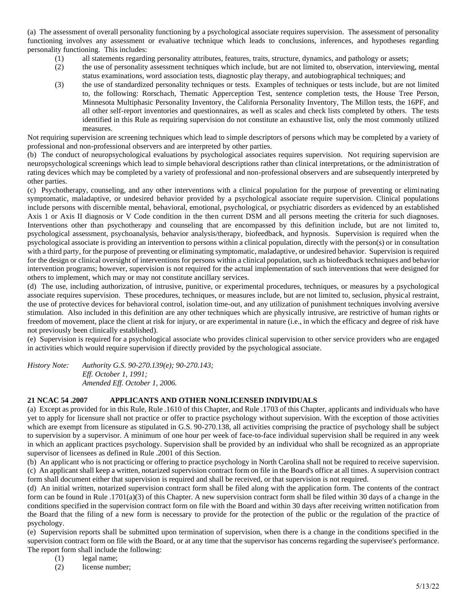(a) The assessment of overall personality functioning by a psychological associate requires supervision. The assessment of personality functioning involves any assessment or evaluative technique which leads to conclusions, inferences, and hypotheses regarding personality functioning. This includes:

- (1) all statements regarding personality attributes, features, traits, structure, dynamics, and pathology or assets;
- (2) the use of personality assessment techniques which include, but are not limited to, observation, interviewing, mental status examinations, word association tests, diagnostic play therapy, and autobiographical techniques; and
- (3) the use of standardized personality techniques or tests. Examples of techniques or tests include, but are not limited to, the following: Rorschach, Thematic Apperception Test, sentence completion tests, the House Tree Person, Minnesota Multiphasic Personality Inventory, the California Personality Inventory, The Millon tests, the 16PF, and all other self-report inventories and questionnaires, as well as scales and check lists completed by others. The tests identified in this Rule as requiring supervision do not constitute an exhaustive list, only the most commonly utilized measures.

Not requiring supervision are screening techniques which lead to simple descriptors of persons which may be completed by a variety of professional and non-professional observers and are interpreted by other parties.

(b) The conduct of neuropsychological evaluations by psychological associates requires supervision. Not requiring supervision are neuropsychological screenings which lead to simple behavioral descriptions rather than clinical interpretations, or the administration of rating devices which may be completed by a variety of professional and non-professional observers and are subsequently interpreted by other parties.

(c) Psychotherapy, counseling, and any other interventions with a clinical population for the purpose of preventing or eliminating symptomatic, maladaptive, or undesired behavior provided by a psychological associate require supervision. Clinical populations include persons with discernible mental, behavioral, emotional, psychological, or psychiatric disorders as evidenced by an established Axis 1 or Axis II diagnosis or V Code condition in the then current DSM and all persons meeting the criteria for such diagnoses. Interventions other than psychotherapy and counseling that are encompassed by this definition include, but are not limited to, psychological assessment, psychoanalysis, behavior analysis/therapy, biofeedback, and hypnosis. Supervision is required when the psychological associate is providing an intervention to persons within a clinical population, directly with the person(s) or in consultation with a third party, for the purpose of preventing or eliminating symptomatic, maladaptive, or undesired behavior. Supervision is required for the design or clinical oversight of interventions for persons within a clinical population, such as biofeedback techniques and behavior intervention programs; however, supervision is not required for the actual implementation of such interventions that were designed for others to implement, which may or may not constitute ancillary services.

(d) The use, including authorization, of intrusive, punitive, or experimental procedures, techniques, or measures by a psychological associate requires supervision. These procedures, techniques, or measures include, but are not limited to, seclusion, physical restraint, the use of protective devices for behavioral control, isolation time-out, and any utilization of punishment techniques involving aversive stimulation. Also included in this definition are any other techniques which are physically intrusive, are restrictive of human rights or freedom of movement, place the client at risk for injury, or are experimental in nature (i.e., in which the efficacy and degree of risk have not previously been clinically established).

(e) Supervision is required for a psychological associate who provides clinical supervision to other service providers who are engaged in activities which would require supervision if directly provided by the psychological associate.

*History Note: Authority G.S. 90-270.139(e); 90-270.143; Eff. October 1, 1991; Amended Eff. October 1, 2006.*

# **21 NCAC 54 .2007 APPLICANTS AND OTHER NONLICENSED INDIVIDUALS**

(a) Except as provided for in this Rule, Rule .1610 of this Chapter, and Rule .1703 of this Chapter, applicants and individuals who have yet to apply for licensure shall not practice or offer to practice psychology without supervision. With the exception of those activities which are exempt from licensure as stipulated in G.S. 90-270.138, all activities comprising the practice of psychology shall be subject to supervision by a supervisor. A minimum of one hour per week of face-to-face individual supervision shall be required in any week in which an applicant practices psychology. Supervision shall be provided by an individual who shall be recognized as an appropriate supervisor of licensees as defined in Rule .2001 of this Section.

(b) An applicant who is not practicing or offering to practice psychology in North Carolina shall not be required to receive supervision. (c) An applicant shall keep a written, notarized supervision contract form on file in the Board's office at all times. A supervision contract form shall document either that supervision is required and shall be received, or that supervision is not required.

(d) An initial written, notarized supervision contract form shall be filed along with the application form. The contents of the contract form can be found in Rule .1701(a)(3) of this Chapter. A new supervision contract form shall be filed within 30 days of a change in the conditions specified in the supervision contract form on file with the Board and within 30 days after receiving written notification from the Board that the filing of a new form is necessary to provide for the protection of the public or the regulation of the practice of psychology.

(e) Supervision reports shall be submitted upon termination of supervision, when there is a change in the conditions specified in the supervision contract form on file with the Board, or at any time that the supervisor has concerns regarding the supervisee's performance. The report form shall include the following:

- (1) legal name;
- (2) license number;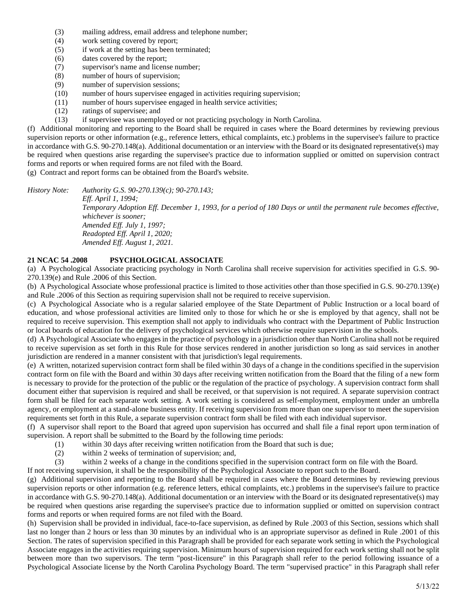- (3) mailing address, email address and telephone number;
- (4) work setting covered by report;
- (5) if work at the setting has been terminated;
- (6) dates covered by the report;
- (7) supervisor's name and license number;
- (8) number of hours of supervision;
- (9) number of supervision sessions;
- (10) number of hours supervisee engaged in activities requiring supervision;
- (11) number of hours supervisee engaged in health service activities;
- (12) ratings of supervisee; and
- (13) if supervisee was unemployed or not practicing psychology in North Carolina.

(f) Additional monitoring and reporting to the Board shall be required in cases where the Board determines by reviewing previous supervision reports or other information (e.g., reference letters, ethical complaints, etc.) problems in the supervisee's failure to practice in accordance with G.S. 90-270.148(a). Additional documentation or an interview with the Board or its designated representative(s) may be required when questions arise regarding the supervisee's practice due to information supplied or omitted on supervision contract forms and reports or when required forms are not filed with the Board.

(g) Contract and report forms can be obtained from the Board's website.

*History Note: Authority G.S. 90-270.139(c); 90-270.143; Eff. April 1, 1994; Temporary Adoption Eff. December 1, 1993, for a period of 180 Days or until the permanent rule becomes effective, whichever is sooner; Amended Eff. July 1, 1997; Readopted Eff. April 1, 2020; Amended Eff. August 1, 2021.*

# **21 NCAC 54 .2008 PSYCHOLOGICAL ASSOCIATE**

(a) A Psychological Associate practicing psychology in North Carolina shall receive supervision for activities specified in G.S. 90- 270.139(e) and Rule .2006 of this Section.

(b) A Psychological Associate whose professional practice is limited to those activities other than those specified in G.S. 90-270.139(e) and Rule .2006 of this Section as requiring supervision shall not be required to receive supervision.

(c) A Psychological Associate who is a regular salaried employee of the State Department of Public Instruction or a local board of education, and whose professional activities are limited only to those for which he or she is employed by that agency, shall not be required to receive supervision. This exemption shall not apply to individuals who contract with the Department of Public Instruction or local boards of education for the delivery of psychological services which otherwise require supervision in the schools.

(d) A Psychological Associate who engages in the practice of psychology in a jurisdiction other than North Carolina shall not be required to receive supervision as set forth in this Rule for those services rendered in another jurisdiction so long as said services in another jurisdiction are rendered in a manner consistent with that jurisdiction's legal requirements.

(e) A written, notarized supervision contract form shall be filed within 30 days of a change in the conditions specified in the supervision contract form on file with the Board and within 30 days after receiving written notification from the Board that the filing of a new form is necessary to provide for the protection of the public or the regulation of the practice of psychology. A supervision contract form shall document either that supervision is required and shall be received, or that supervision is not required. A separate supervision contract form shall be filed for each separate work setting. A work setting is considered as self-employment, employment under an umbrella agency, or employment at a stand-alone business entity. If receiving supervision from more than one supervisor to meet the supervision requirements set forth in this Rule, a separate supervision contract form shall be filed with each individual supervisor.

(f) A supervisor shall report to the Board that agreed upon supervision has occurred and shall file a final report upon termination of supervision. A report shall be submitted to the Board by the following time periods:

- (1) within 30 days after receiving written notification from the Board that such is due;
- (2) within 2 weeks of termination of supervision; and,
- (3) within 2 weeks of a change in the conditions specified in the supervision contract form on file with the Board.

If not receiving supervision, it shall be the responsibility of the Psychological Associate to report such to the Board.

(g) Additional supervision and reporting to the Board shall be required in cases where the Board determines by reviewing previous supervision reports or other information (e.g. reference letters, ethical complaints, etc.) problems in the supervisee's failure to practice in accordance with G.S. 90-270.148(a). Additional documentation or an interview with the Board or its designated representative(s) may be required when questions arise regarding the supervisee's practice due to information supplied or omitted on supervision contract forms and reports or when required forms are not filed with the Board.

(h) Supervision shall be provided in individual, face-to-face supervision, as defined by Rule .2003 of this Section, sessions which shall last no longer than 2 hours or less than 30 minutes by an individual who is an appropriate supervisor as defined in Rule .2001 of this Section. The rates of supervision specified in this Paragraph shall be provided for each separate work setting in which the Psychological Associate engages in the activities requiring supervision. Minimum hours of supervision required for each work setting shall not be split between more than two supervisors. The term "post-licensure" in this Paragraph shall refer to the period following issuance of a Psychological Associate license by the North Carolina Psychology Board. The term "supervised practice" in this Paragraph shall refer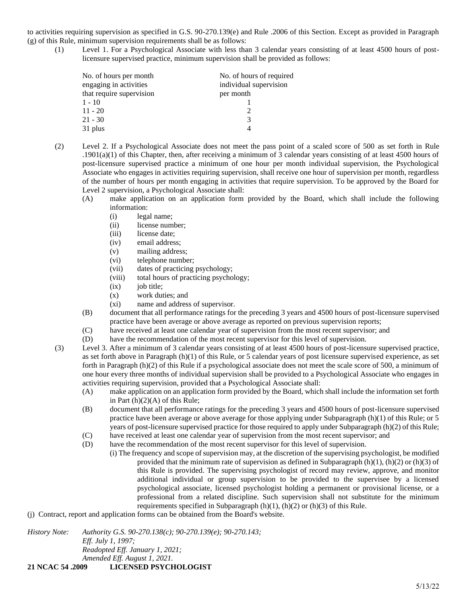to activities requiring supervision as specified in G.S. 90-270.139(e) and Rule .2006 of this Section. Except as provided in Paragraph (g) of this Rule, minimum supervision requirements shall be as follows:

(1) Level 1. For a Psychological Associate with less than 3 calendar years consisting of at least 4500 hours of postlicensure supervised practice, minimum supervision shall be provided as follows:

| No. of hours per month   | No. of hours of required |
|--------------------------|--------------------------|
| engaging in activities   | individual supervision   |
| that require supervision | per month                |
| $1 - 10$                 |                          |
| $11 - 20$                |                          |
| 21 - 30                  | 3                        |
| 31 plus                  |                          |

- (2) Level 2. If a Psychological Associate does not meet the pass point of a scaled score of 500 as set forth in Rule  $.1901(a)(1)$  of this Chapter, then, after receiving a minimum of 3 calendar years consisting of at least 4500 hours of post-licensure supervised practice a minimum of one hour per month individual supervision, the Psychological Associate who engages in activities requiring supervision, shall receive one hour of supervision per month, regardless of the number of hours per month engaging in activities that require supervision. To be approved by the Board for Level 2 supervision, a Psychological Associate shall:
	- (A) make application on an application form provided by the Board, which shall include the following information:
		- (i) legal name;
		- (ii) license number;
		- (iii) license date;
		- (iv) email address;
		- (v) mailing address;
		- (vi) telephone number;
		- (vii) dates of practicing psychology;
		- (viii) total hours of practicing psychology;
		- $(ix)$  job title;
		- (x) work duties; and
		- (xi) name and address of supervisor.
	- (B) document that all performance ratings for the preceding 3 years and 4500 hours of post-licensure supervised practice have been average or above average as reported on previous supervision reports;
	- (C) have received at least one calendar year of supervision from the most recent supervisor; and
	- (D) have the recommendation of the most recent supervisor for this level of supervision.
- (3) Level 3. After a minimum of 3 calendar years consisting of at least 4500 hours of post-licensure supervised practice, as set forth above in Paragraph (h)(1) of this Rule, or 5 calendar years of post licensure supervised experience, as set forth in Paragraph (h)(2) of this Rule if a psychological associate does not meet the scale score of 500, a minimum of one hour every three months of individual supervision shall be provided to a Psychological Associate who engages in activities requiring supervision, provided that a Psychological Associate shall:
	- (A) make application on an application form provided by the Board, which shall include the information set forth in Part  $(h)(2)(A)$  of this Rule;
	- (B) document that all performance ratings for the preceding 3 years and 4500 hours of post-licensure supervised practice have been average or above average for those applying under Subparagraph (h)(1) of this Rule; or 5 years of post-licensure supervised practice for those required to apply under Subparagraph (h)(2) of this Rule;
	- (C) have received at least one calendar year of supervision from the most recent supervisor; and
	- (D) have the recommendation of the most recent supervisor for this level of supervision.
		- (i) The frequency and scope of supervision may, at the discretion of the supervising psychologist, be modified provided that the minimum rate of supervision as defined in Subparagraph  $(h)(1)$ ,  $(h)(2)$  or  $(h)(3)$  of this Rule is provided. The supervising psychologist of record may review, approve, and monitor additional individual or group supervision to be provided to the supervisee by a licensed psychological associate, licensed psychologist holding a permanent or provisional license, or a professional from a related discipline. Such supervision shall not substitute for the minimum requirements specified in Subparagraph  $(h)(1)$ ,  $(h)(2)$  or  $(h)(3)$  of this Rule.
- (j) Contract, report and application forms can be obtained from the Board's website.

*History Note: Authority G.S. 90-270.138(c); 90-270.139(e); 90-270.143; Eff. July 1, 1997; Readopted Eff. January 1, 2021; Amended Eff. August 1, 2021.*

**21 NCAC 54 .2009 LICENSED PSYCHOLOGIST**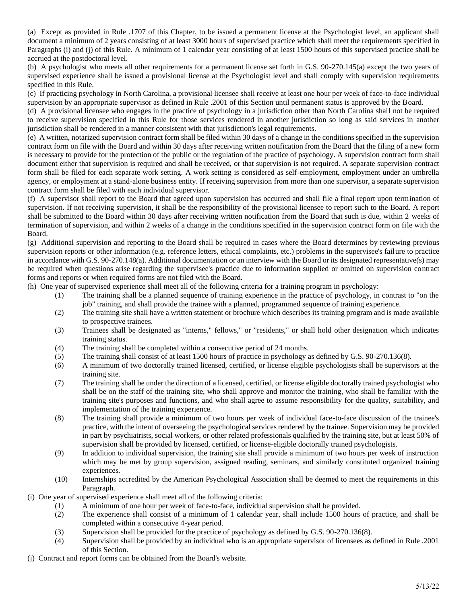(a) Except as provided in Rule .1707 of this Chapter, to be issued a permanent license at the Psychologist level, an applicant shall document a minimum of 2 years consisting of at least 3000 hours of supervised practice which shall meet the requirements specified in Paragraphs (i) and (j) of this Rule. A minimum of 1 calendar year consisting of at least 1500 hours of this supervised practice shall be accrued at the postdoctoral level.

(b) A psychologist who meets all other requirements for a permanent license set forth in G.S. 90-270.145(a) except the two years of supervised experience shall be issued a provisional license at the Psychologist level and shall comply with supervision requirements specified in this Rule.

(c) If practicing psychology in North Carolina, a provisional licensee shall receive at least one hour per week of face-to-face individual supervision by an appropriate supervisor as defined in Rule .2001 of this Section until permanent status is approved by the Board.

(d) A provisional licensee who engages in the practice of psychology in a jurisdiction other than North Carolina shall not be required to receive supervision specified in this Rule for those services rendered in another jurisdiction so long as said services in another jurisdiction shall be rendered in a manner consistent with that jurisdiction's legal requirements.

(e) A written, notarized supervision contract form shall be filed within 30 days of a change in the conditions specified in the supervision contract form on file with the Board and within 30 days after receiving written notification from the Board that the filing of a new form is necessary to provide for the protection of the public or the regulation of the practice of psychology. A supervision contract form shall document either that supervision is required and shall be received, or that supervision is not required. A separate supervision contract form shall be filed for each separate work setting. A work setting is considered as self-employment, employment under an umbrella agency, or employment at a stand-alone business entity. If receiving supervision from more than one supervisor, a separate supervision contract form shall be filed with each individual supervisor.

(f) A supervisor shall report to the Board that agreed upon supervision has occurred and shall file a final report upon termination of supervision. If not receiving supervision, it shall be the responsibility of the provisional licensee to report such to the Board. A report shall be submitted to the Board within 30 days after receiving written notification from the Board that such is due, within 2 weeks of termination of supervision, and within 2 weeks of a change in the conditions specified in the supervision contract form on file with the Board.

(g) Additional supervision and reporting to the Board shall be required in cases where the Board determines by reviewing previous supervision reports or other information (e.g. reference letters, ethical complaints, etc.) problems in the supervisee's failure to practice in accordance with G.S. 90-270.148(a). Additional documentation or an interview with the Board or its designated representative(s) may be required when questions arise regarding the supervisee's practice due to information supplied or omitted on supervision contract forms and reports or when required forms are not filed with the Board.

(h) One year of supervised experience shall meet all of the following criteria for a training program in psychology:

- (1) The training shall be a planned sequence of training experience in the practice of psychology, in contrast to "on the job" training, and shall provide the trainee with a planned, programmed sequence of training experience.
- (2) The training site shall have a written statement or brochure which describes its training program and is made available to prospective trainees.
- (3) Trainees shall be designated as "interns," fellows," or "residents," or shall hold other designation which indicates training status.
- (4) The training shall be completed within a consecutive period of 24 months.
- (5) The training shall consist of at least 1500 hours of practice in psychology as defined by G.S. 90-270.136(8).
- (6) A minimum of two doctorally trained licensed, certified, or license eligible psychologists shall be supervisors at the training site.
- (7) The training shall be under the direction of a licensed, certified, or license eligible doctorally trained psychologist who shall be on the staff of the training site, who shall approve and monitor the training, who shall be familiar with the training site's purposes and functions, and who shall agree to assume responsibility for the quality, suitability, and implementation of the training experience.
- (8) The training shall provide a minimum of two hours per week of individual face-to-face discussion of the trainee's practice, with the intent of overseeing the psychological services rendered by the trainee. Supervision may be provided in part by psychiatrists, social workers, or other related professionals qualified by the training site, but at least 50% of supervision shall be provided by licensed, certified, or license-eligible doctorally trained psychologists.
- (9) In addition to individual supervision, the training site shall provide a minimum of two hours per week of instruction which may be met by group supervision, assigned reading, seminars, and similarly constituted organized training experiences.
- (10) Internships accredited by the American Psychological Association shall be deemed to meet the requirements in this Paragraph.
- (i) One year of supervised experience shall meet all of the following criteria:
	- (1) A minimum of one hour per week of face-to-face, individual supervision shall be provided.
	- (2) The experience shall consist of a minimum of 1 calendar year, shall include 1500 hours of practice, and shall be completed within a consecutive 4-year period.
	- (3) Supervision shall be provided for the practice of psychology as defined by G.S. 90-270.136(8).
	- (4) Supervision shall be provided by an individual who is an appropriate supervisor of licensees as defined in Rule .2001 of this Section.
- (j) Contract and report forms can be obtained from the Board's website.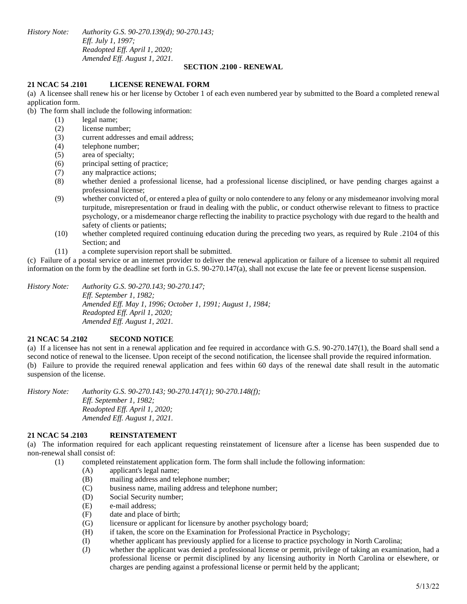*History Note: Authority G.S. 90-270.139(d); 90-270.143; Eff. July 1, 1997; Readopted Eff. April 1, 2020; Amended Eff. August 1, 2021.*

#### **SECTION .2100 - RENEWAL**

#### **21 NCAC 54 .2101 LICENSE RENEWAL FORM**

(a) A licensee shall renew his or her license by October 1 of each even numbered year by submitted to the Board a completed renewal application form.

(b) The form shall include the following information:

- (1) legal name;
	- (2) license number;
	- (3) current addresses and email address;
	- (4) telephone number;
	- (5) area of specialty;
	- (6) principal setting of practice;
	- (7) any malpractice actions;
	- (8) whether denied a professional license, had a professional license disciplined, or have pending charges against a professional license;
	- (9) whether convicted of, or entered a plea of guilty or nolo contendere to any felony or any misdemeanor involving moral turpitude, misrepresentation or fraud in dealing with the public, or conduct otherwise relevant to fitness to practice psychology, or a misdemeanor charge reflecting the inability to practice psychology with due regard to the health and safety of clients or patients;
	- (10) whether completed required continuing education during the preceding two years, as required by Rule .2104 of this Section; and
	- (11) a complete supervision report shall be submitted.

(c) Failure of a postal service or an internet provider to deliver the renewal application or failure of a licensee to submit all required information on the form by the deadline set forth in G.S. 90-270.147(a), shall not excuse the late fee or prevent license suspension.

*History Note: Authority G.S. 90-270.143; 90-270.147; Eff. September 1, 1982; Amended Eff. May 1, 1996; October 1, 1991; August 1, 1984; Readopted Eff. April 1, 2020; Amended Eff. August 1, 2021.*

# **21 NCAC 54 .2102 SECOND NOTICE**

(a) If a licensee has not sent in a renewal application and fee required in accordance with G.S. 90-270.147(1), the Board shall send a second notice of renewal to the licensee. Upon receipt of the second notification, the licensee shall provide the required information. (b) Failure to provide the required renewal application and fees within 60 days of the renewal date shall result in the automatic suspension of the license.

*History Note: Authority G.S. 90-270.143; 90-270.147(1); 90-270.148(f); Eff. September 1, 1982; Readopted Eff. April 1, 2020; Amended Eff. August 1, 2021.*

#### **21 NCAC 54 .2103 REINSTATEMENT**

(a) The information required for each applicant requesting reinstatement of licensure after a license has been suspended due to non-renewal shall consist of:

(1) completed reinstatement application form. The form shall include the following information:

- (A) applicant's legal name;
- (B) mailing address and telephone number;
- (C) business name, mailing address and telephone number;
- (D) Social Security number;
- (E) e-mail address;
- (F) date and place of birth;
- (G) licensure or applicant for licensure by another psychology board;
- (H) if taken, the score on the Examination for Professional Practice in Psychology;
- (I) whether applicant has previously applied for a license to practice psychology in North Carolina;
- (J) whether the applicant was denied a professional license or permit, privilege of taking an examination, had a professional license or permit disciplined by any licensing authority in North Carolina or elsewhere, or charges are pending against a professional license or permit held by the applicant;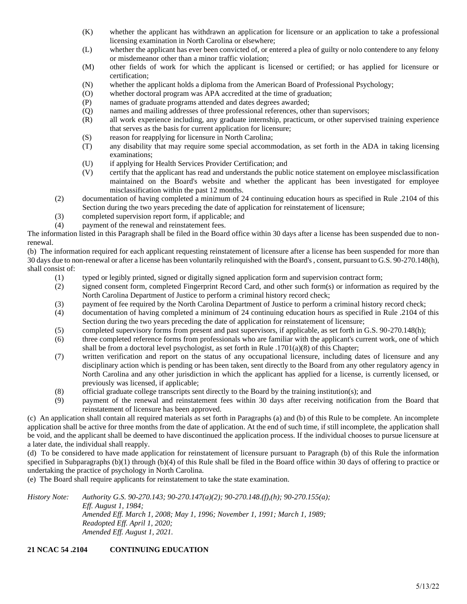- (K) whether the applicant has withdrawn an application for licensure or an application to take a professional licensing examination in North Carolina or elsewhere;
- (L) whether the applicant has ever been convicted of, or entered a plea of guilty or nolo contendere to any felony or misdemeanor other than a minor traffic violation;
- (M) other fields of work for which the applicant is licensed or certified; or has applied for licensure or certification;
- (N) whether the applicant holds a diploma from the American Board of Professional Psychology;
- (O) whether doctoral program was APA accredited at the time of graduation;
- (P) names of graduate programs attended and dates degrees awarded;
- (Q) names and mailing addresses of three professional references, other than supervisors;
- (R) all work experience including, any graduate internship, practicum, or other supervised training experience that serves as the basis for current application for licensure;
- (S) reason for reapplying for licensure in North Carolina;
- (T) any disability that may require some special accommodation, as set forth in the ADA in taking licensing examinations;
- (U) if applying for Health Services Provider Certification; and
- (V) certify that the applicant has read and understands the public notice statement on employee misclassification maintained on the Board's website and whether the applicant has been investigated for employee misclassification within the past 12 months.
- (2) documentation of having completed a minimum of 24 continuing education hours as specified in Rule .2104 of this Section during the two years preceding the date of application for reinstatement of licensure;
- (3) completed supervision report form, if applicable; and
- (4) payment of the renewal and reinstatement fees.

The information listed in this Paragraph shall be filed in the Board office within 30 days after a license has been suspended due to nonrenewal.

(b) The information required for each applicant requesting reinstatement of licensure after a license has been suspended for more than 30 days due to non-renewal or after a license has been voluntarily relinquished with the Board's , consent, pursuant to G.S. 90-270.148(h), shall consist of:

- (1) typed or legibly printed, signed or digitally signed application form and supervision contract form;
- (2) signed consent form, completed Fingerprint Record Card, and other such form(s) or information as required by the North Carolina Department of Justice to perform a criminal history record check;
- (3) payment of fee required by the North Carolina Department of Justice to perform a criminal history record check;
- (4) documentation of having completed a minimum of 24 continuing education hours as specified in Rule .2104 of this Section during the two years preceding the date of application for reinstatement of licensure;
- (5) completed supervisory forms from present and past supervisors, if applicable, as set forth in G.S. 90-270.148(h);
- (6) three completed reference forms from professionals who are familiar with the applicant's current work, one of which shall be from a doctoral level psychologist, as set forth in Rule .1701(a)(8) of this Chapter;
- (7) written verification and report on the status of any occupational licensure, including dates of licensure and any disciplinary action which is pending or has been taken, sent directly to the Board from any other regulatory agency in North Carolina and any other jurisdiction in which the applicant has applied for a license, is currently licensed, or previously was licensed, if applicable;
- (8) official graduate college transcripts sent directly to the Board by the training institution(s); and
- (9) payment of the renewal and reinstatement fees within 30 days after receiving notification from the Board that reinstatement of licensure has been approved.

(c) An application shall contain all required materials as set forth in Paragraphs (a) and (b) of this Rule to be complete. An incomplete application shall be active for three months from the date of application. At the end of such time, if still incomplete, the application shall be void, and the applicant shall be deemed to have discontinued the application process. If the individual chooses to pursue licensure at a later date, the individual shall reapply.

(d) To be considered to have made application for reinstatement of licensure pursuant to Paragraph (b) of this Rule the information specified in Subparagraphs (b)(1) through (b)(4) of this Rule shall be filed in the Board office within 30 days of offering to practice or undertaking the practice of psychology in North Carolina.

(e) The Board shall require applicants for reinstatement to take the state examination.

*History Note: Authority G.S. 90-270.143; 90-270.147(a)(2); 90-270.148.(f),(h); 90-270.155(a); Eff. August 1, 1984; Amended Eff. March 1, 2008; May 1, 1996; November 1, 1991; March 1, 1989; Readopted Eff. April 1, 2020; Amended Eff. August 1, 2021.*

# **21 NCAC 54 .2104 CONTINUING EDUCATION**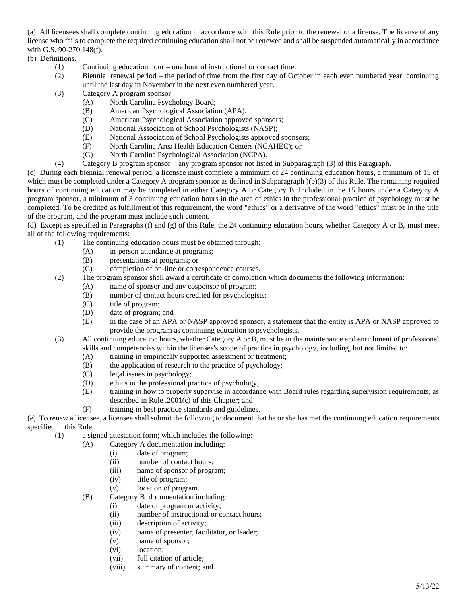(a) All licensees shall complete continuing education in accordance with this Rule prior to the renewal of a license. The license of any license who fails to complete the required continuing education shall not be renewed and shall be suspended automatically in accordance with G.S. 90-270.148(f).

(b) Definitions.

- (1) Continuing education hour one hour of instructional or contact time.
- (2) Biennial renewal period the period of time from the first day of October in each even numbered year, continuing until the last day in November in the next even numbered year.
- (3) Category A program sponsor
	- (A) North Carolina Psychology Board;
	- (B) American Psychological Association (APA);
	- (C) American Psychological Association approved sponsors;
	- (D) National Association of School Psychologists (NASP);
	- (E) National Association of School Psychologists approved sponsors;
	- (F) North Carolina Area Health Education Centers (NCAHEC); or
	- (G) North Carolina Psychological Association (NCPA).
- (4) Category B program sponsor any program sponsor not listed in Subparagraph (3) of this Paragraph.

(c) During each biennial renewal period, a licensee must complete a minimum of 24 continuing education hours, a minimum of 15 of which must be completed under a Category A program sponsor as defined in Subparagraph  $)(b)(3)$  of this Rule. The remaining required hours of continuing education may be completed in either Category A or Category B. Included in the 15 hours under a Category A program sponsor, a minimum of 3 continuing education hours in the area of ethics in the professional practice of psychology must be completed. To be credited as fulfillment of this requirement, the word "ethics" or a derivative of the word "ethics" must be in the title of the program, and the program must include such content.

(d) Except as specified in Paragraphs (f) and (g) of this Rule, the 24 continuing education hours, whether Category A or B, must meet all of the following requirements:

- (1) The continuing education hours must be obtained through:
	- (A) in-person attendance at programs;
	- (B) presentations at programs; or
	- (C) completion of on-line or correspondence courses.
- (2) The program sponsor shall award a certificate of completion which documents the following information:
	- (A) name of sponsor and any cosponsor of program;
	- (B) number of contact hours credited for psychologists;
	- (C) title of program;
	- (D) date of program; and
	- (E) in the case of an APA or NASP approved sponsor, a statement that the entity is APA or NASP approved to provide the program as continuing education to psychologists.
- (3) All continuing education hours, whether Category A or B, must be in the maintenance and enrichment of professional skills and competencies within the licensee's scope of practice in psychology, including, but not limited to:
	- (A) training in empirically supported assessment or treatment;
	- (B) the application of research to the practice of psychology;
	- (C) legal issues in psychology;
	- (D) ethics in the professional practice of psychology;
	- (E) training in how to properly supervise in accordance with Board rules regarding supervision requirements, as described in Rule .2001(c) of this Chapter; and
	- (F) training in best practice standards and guidelines.

(e) To renew a licensee, a licensee shall submit the following to document that he or she has met the continuing education requirements specified in this Rule:

- (1) a signed attestation form; which includes the following:
	- (A) Category A documentation including:
		- (i) date of program;
		- (ii) number of contact hours;
		- (iii) name of sponsor of program;
		- (iv) title of program;
		- (v) location of program.
	- (B) Category B. documentation including:
		- (i) date of program or activity;
		- (ii) number of instructional or contact hours;
		- (iii) description of activity;
		- (iv) name of presenter, facilitator, or leader;
		- (v) name of sponsor;
		- (vi) location;
		- (vii) full citation of article;
		- (viii) summary of content; and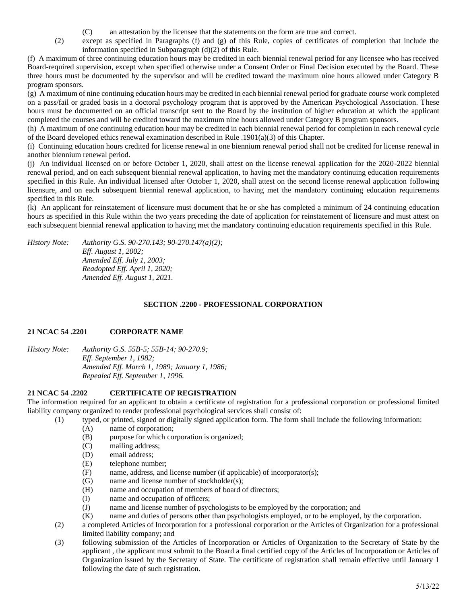- (C) an attestation by the licensee that the statements on the form are true and correct.
- (2) except as specified in Paragraphs (f) and (g) of this Rule, copies of certificates of completion that include the information specified in Subparagraph (d)(2) of this Rule.

(f) A maximum of three continuing education hours may be credited in each biennial renewal period for any licensee who has received Board-required supervision, except when specified otherwise under a Consent Order or Final Decision executed by the Board. These three hours must be documented by the supervisor and will be credited toward the maximum nine hours allowed under Category B program sponsors.

(g) A maximum of nine continuing education hours may be credited in each biennial renewal period for graduate course work completed on a pass/fail or graded basis in a doctoral psychology program that is approved by the American Psychological Association. These hours must be documented on an official transcript sent to the Board by the institution of higher education at which the applicant completed the courses and will be credited toward the maximum nine hours allowed under Category B program sponsors.

(h) A maximum of one continuing education hour may be credited in each biennial renewal period for completion in each renewal cycle of the Board developed ethics renewal examination described in Rule .1901(a)(3) of this Chapter.

(i) Continuing education hours credited for license renewal in one biennium renewal period shall not be credited for license renewal in another biennium renewal period.

(j) An individual licensed on or before October 1, 2020, shall attest on the license renewal application for the 2020-2022 biennial renewal period, and on each subsequent biennial renewal application, to having met the mandatory continuing education requirements specified in this Rule. An individual licensed after October 1, 2020, shall attest on the second license renewal application following licensure, and on each subsequent biennial renewal application, to having met the mandatory continuing education requirements specified in this Rule.

(k) An applicant for reinstatement of licensure must document that he or she has completed a minimum of 24 continuing education hours as specified in this Rule within the two years preceding the date of application for reinstatement of licensure and must attest on each subsequent biennial renewal application to having met the mandatory continuing education requirements specified in this Rule.

*History Note: Authority G.S. 90-270.143; 90-270.147(a)(2); Eff. August 1, 2002; Amended Eff. July 1, 2003; Readopted Eff. April 1, 2020; Amended Eff. August 1, 2021.*

# **SECTION .2200 - PROFESSIONAL CORPORATION**

# **21 NCAC 54 .2201 CORPORATE NAME**

*History Note: Authority G.S. 55B-5; 55B-14; 90-270.9; Eff. September 1, 1982; Amended Eff. March 1, 1989; January 1, 1986; Repealed Eff. September 1, 1996.*

# **21 NCAC 54 .2202 CERTIFICATE OF REGISTRATION**

The information required for an applicant to obtain a certificate of registration for a professional corporation or professional limited liability company organized to render professional psychological services shall consist of:

- (1) typed, or printed, signed or digitally signed application form. The form shall include the following information:
	- (A) name of corporation;
	- (B) purpose for which corporation is organized;
	- (C) mailing address;
	- (D) email address;
	- (E) telephone number;
	- (F) name, address, and license number (if applicable) of incorporator(s);
	- (G) name and license number of stockholder(s);
	- (H) name and occupation of members of board of directors;
	- (I) name and occupation of officers;
	- (J) name and license number of psychologists to be employed by the corporation; and
	- (K) name and duties of persons other than psychologists employed, or to be employed, by the corporation.
- (2) a completed Articles of Incorporation for a professional corporation or the Articles of Organization for a professional limited liability company; and
- (3) following submission of the Articles of Incorporation or Articles of Organization to the Secretary of State by the applicant , the applicant must submit to the Board a final certified copy of the Articles of Incorporation or Articles of Organization issued by the Secretary of State. The certificate of registration shall remain effective until January 1 following the date of such registration.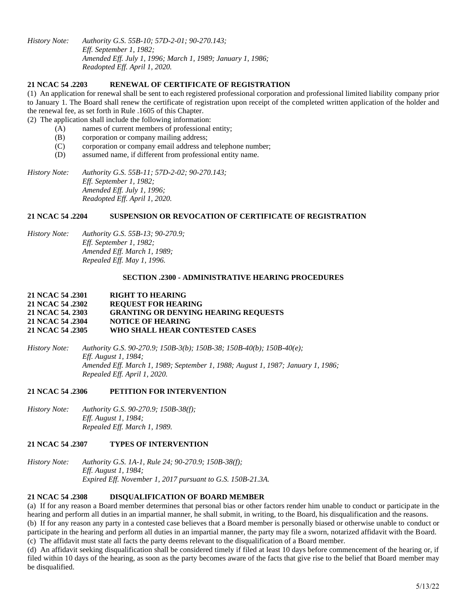*History Note: Authority G.S. 55B-10; 57D-2-01; 90-270.143; Eff. September 1, 1982; Amended Eff. July 1, 1996; March 1, 1989; January 1, 1986; Readopted Eff. April 1, 2020.*

### **21 NCAC 54 .2203 RENEWAL OF CERTIFICATE OF REGISTRATION**

(1) An application for renewal shall be sent to each registered professional corporation and professional limited liability company prior to January 1. The Board shall renew the certificate of registration upon receipt of the completed written application of the holder and the renewal fee, as set forth in Rule .1605 of this Chapter.

(2) The application shall include the following information:

- (A) names of current members of professional entity;
- (B) corporation or company mailing address;
- (C) corporation or company email address and telephone number;
- (D) assumed name, if different from professional entity name.

*History Note: Authority G.S. 55B-11; 57D-2-02; 90-270.143; Eff. September 1, 1982; Amended Eff. July 1, 1996; Readopted Eff. April 1, 2020.*

### **21 NCAC 54 .2204 SUSPENSION OR REVOCATION OF CERTIFICATE OF REGISTRATION**

*History Note: Authority G.S. 55B-13; 90-270.9; Eff. September 1, 1982; Amended Eff. March 1, 1989; Repealed Eff. May 1, 1996.*

#### **SECTION .2300 - ADMINISTRATIVE HEARING PROCEDURES**

### **21 NCAC 54 .2301 RIGHT TO HEARING 21 NCAC 54 .2302 REQUEST FOR HEARING 21 NCAC 54. 2303 GRANTING OR DENYING HEARING REQUESTS 21 NCAC 54 .2304 NOTICE OF HEARING 21 NCAC 54 .2305 WHO SHALL HEAR CONTESTED CASES**

*History Note: Authority G.S. 90-270.9; 150B-3(b); 150B-38; 150B-40(b); 150B-40(e); Eff. August 1, 1984; Amended Eff. March 1, 1989; September 1, 1988; August 1, 1987; January 1, 1986; Repealed Eff. April 1, 2020.*

#### **21 NCAC 54 .2306 PETITION FOR INTERVENTION**

*History Note: Authority G.S. 90-270.9; 150B-38(f); Eff. August 1, 1984; Repealed Eff. March 1, 1989.*

### **21 NCAC 54 .2307 TYPES OF INTERVENTION**

*History Note: Authority G.S. 1A-1, Rule 24; 90-270.9; 150B-38(f); Eff. August 1, 1984; Expired Eff. November 1, 2017 pursuant to G.S. 150B-21.3A.*

# **21 NCAC 54 .2308 DISQUALIFICATION OF BOARD MEMBER**

(a) If for any reason a Board member determines that personal bias or other factors render him unable to conduct or participate in the hearing and perform all duties in an impartial manner, he shall submit, in writing, to the Board, his disqualification and the reasons. (b) If for any reason any party in a contested case believes that a Board member is personally biased or otherwise unable to conduct or

participate in the hearing and perform all duties in an impartial manner, the party may file a sworn, notarized affidavit with the Board. (c) The affidavit must state all facts the party deems relevant to the disqualification of a Board member.

(d) An affidavit seeking disqualification shall be considered timely if filed at least 10 days before commencement of the hearing or, if filed within 10 days of the hearing, as soon as the party becomes aware of the facts that give rise to the belief that Board member may be disqualified.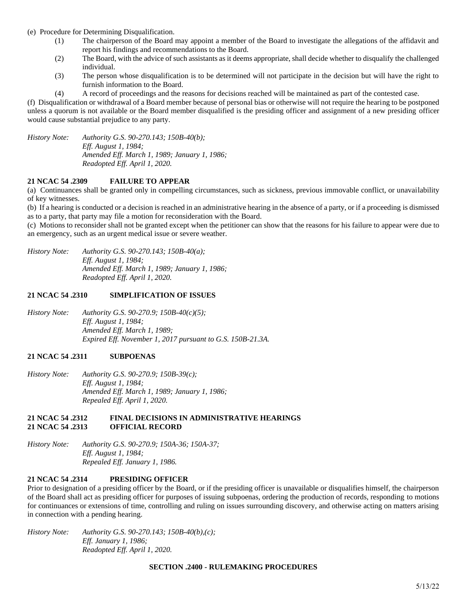- (e) Procedure for Determining Disqualification.
	- (1) The chairperson of the Board may appoint a member of the Board to investigate the allegations of the affidavit and report his findings and recommendations to the Board.
	- (2) The Board, with the advice of such assistants as it deems appropriate, shall decide whether to disqualify the challenged individual.
	- (3) The person whose disqualification is to be determined will not participate in the decision but will have the right to furnish information to the Board.
	- (4) A record of proceedings and the reasons for decisions reached will be maintained as part of the contested case.

(f) Disqualification or withdrawal of a Board member because of personal bias or otherwise will not require the hearing to be postponed unless a quorum is not available or the Board member disqualified is the presiding officer and assignment of a new presiding officer would cause substantial prejudice to any party.

*History Note: Authority G.S. 90-270.143; 150B-40(b); Eff. August 1, 1984; Amended Eff. March 1, 1989; January 1, 1986; Readopted Eff. April 1, 2020.*

# **21 NCAC 54 .2309 FAILURE TO APPEAR**

(a) Continuances shall be granted only in compelling circumstances, such as sickness, previous immovable conflict, or unavailability of key witnesses.

(b) If a hearing is conducted or a decision is reached in an administrative hearing in the absence of a party, or if a proceeding is dismissed as to a party, that party may file a motion for reconsideration with the Board.

(c) Motions to reconsider shall not be granted except when the petitioner can show that the reasons for his failure to appear were due to an emergency, such as an urgent medical issue or severe weather.

*History Note: Authority G.S. 90-270.143; 150B-40(a); Eff. August 1, 1984; Amended Eff. March 1, 1989; January 1, 1986; Readopted Eff. April 1, 2020.*

### **21 NCAC 54 .2310 SIMPLIFICATION OF ISSUES**

*History Note: Authority G.S. 90-270.9; 150B-40(c)(5); Eff. August 1, 1984; Amended Eff. March 1, 1989; Expired Eff. November 1, 2017 pursuant to G.S. 150B-21.3A.*

# **21 NCAC 54 .2311 SUBPOENAS**

*History Note: Authority G.S. 90-270.9; 150B-39(c); Eff. August 1, 1984; Amended Eff. March 1, 1989; January 1, 1986; Repealed Eff. April 1, 2020.*

#### **21 NCAC 54 .2312 FINAL DECISIONS IN ADMINISTRATIVE HEARINGS 21 NCAC 54 .2313 OFFICIAL RECORD**

*History Note: Authority G.S. 90-270.9; 150A-36; 150A-37; Eff. August 1, 1984; Repealed Eff. January 1, 1986.*

# **21 NCAC 54 .2314 PRESIDING OFFICER**

Prior to designation of a presiding officer by the Board, or if the presiding officer is unavailable or disqualifies himself, the chairperson of the Board shall act as presiding officer for purposes of issuing subpoenas, ordering the production of records, responding to motions for continuances or extensions of time, controlling and ruling on issues surrounding discovery, and otherwise acting on matters arising in connection with a pending hearing.

*History Note: Authority G.S. 90-270.143; 150B-40(b),(c); Eff. January 1, 1986; Readopted Eff. April 1, 2020.*

#### **SECTION .2400 - RULEMAKING PROCEDURES**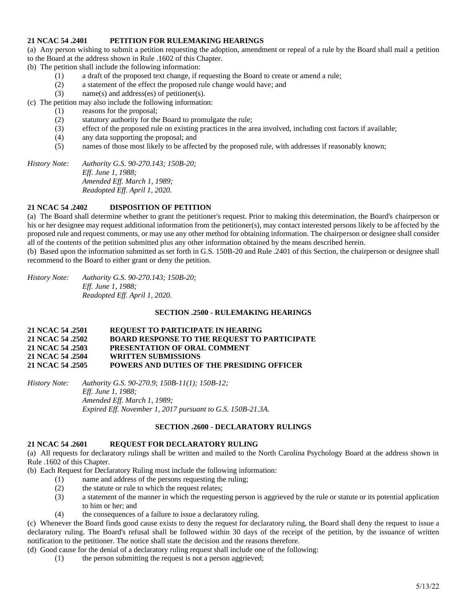# **21 NCAC 54 .2401 PETITION FOR RULEMAKING HEARINGS**

(a) Any person wishing to submit a petition requesting the adoption, amendment or repeal of a rule by the Board shall mail a petition to the Board at the address shown in Rule .1602 of this Chapter.

(b) The petition shall include the following information:

- (1) a draft of the proposed text change, if requesting the Board to create or amend a rule;
- (2) a statement of the effect the proposed rule change would have; and
- (3) name(s) and address(es) of petitioner(s).

(c) The petition may also include the following information:

- (1) reasons for the proposal;
- (2) statutory authority for the Board to promulgate the rule;
- (3) effect of the proposed rule on existing practices in the area involved, including cost factors if available;
- (4) any data supporting the proposal; and
- (5) names of those most likely to be affected by the proposed rule, with addresses if reasonably known;

*History Note: Authority G.S. 90-270.143; 150B-20; Eff. June 1, 1988; Amended Eff. March 1, 1989; Readopted Eff. April 1, 2020.*

# **21 NCAC 54 .2402 DISPOSITION OF PETITION**

(a) The Board shall determine whether to grant the petitioner's request. Prior to making this determination, the Board's chairperson or his or her designee may request additional information from the petitioner(s), may contact interested persons likely to be affected by the proposed rule and request comments, or may use any other method for obtaining information. The chairperson or designee shall consider all of the contents of the petition submitted plus any other information obtained by the means described herein.

(b) Based upon the information submitted as set forth in G.S. 150B-20 and Rule .2401 of this Section, the chairperson or designee shall recommend to the Board to either grant or deny the petition.

*History Note: Authority G.S. 90-270.143; 150B-20; Eff. June 1, 1988; Readopted Eff. April 1, 2020.*

# **SECTION .2500 - RULEMAKING HEARINGS**

#### **21 NCAC 54 .2501 REQUEST TO PARTICIPATE IN HEARING 21 NCAC 54 .2502 BOARD RESPONSE TO THE REQUEST TO PARTICIPATE 21 NCAC 54 .2503 PRESENTATION OF ORAL COMMENT 21 NCAC 54 .2504 WRITTEN SUBMISSIONS 21 NCAC 54 .2505 POWERS AND DUTIES OF THE PRESIDING OFFICER**

*History Note: Authority G.S. 90-270.9; 150B-11(1); 150B-12; Eff. June 1, 1988; Amended Eff. March 1, 1989; Expired Eff. November 1, 2017 pursuant to G.S. 150B-21.3A.*

#### **SECTION .2600 - DECLARATORY RULINGS**

### **21 NCAC 54 .2601 REQUEST FOR DECLARATORY RULING**

(a) All requests for declaratory rulings shall be written and mailed to the North Carolina Psychology Board at the address shown in Rule .1602 of this Chapter.

(b) Each Request for Declaratory Ruling must include the following information:

- (1) name and address of the persons requesting the ruling;
- (2) the statute or rule to which the request relates;
- (3) a statement of the manner in which the requesting person is aggrieved by the rule or statute or its potential application to him or her; and
- (4) the consequences of a failure to issue a declaratory ruling.

(c) Whenever the Board finds good cause exists to deny the request for declaratory ruling, the Board shall deny the request to issue a declaratory ruling. The Board's refusal shall be followed within 30 days of the receipt of the petition, by the issuance of written notification to the petitioner. The notice shall state the decision and the reasons therefore.

(d) Good cause for the denial of a declaratory ruling request shall include one of the following:

(1) the person submitting the request is not a person aggrieved;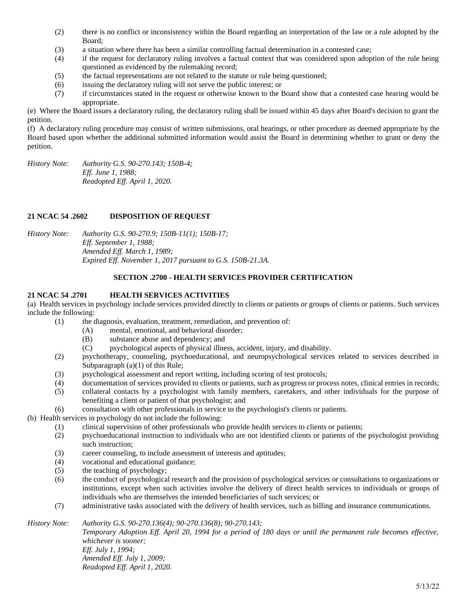- (2) there is no conflict or inconsistency within the Board regarding an interpretation of the law or a rule adopted by the Board;
- (3) a situation where there has been a similar controlling factual determination in a contested case;
- (4) if the request for declaratory ruling involves a factual context that was considered upon adoption of the rule being questioned as evidenced by the rulemaking record;
- (5) the factual representations are not related to the statute or rule being questioned;
- (6) issuing the declaratory ruling will not serve the public interest; or
- (7) if circumstances stated in the request or otherwise known to the Board show that a contested case hearing would be appropriate.

(e) Where the Board issues a declaratory ruling, the declaratory ruling shall be issued within 45 days after Board's decision to grant the petition.

(f) A declaratory ruling procedure may consist of written submissions, oral hearings, or other procedure as deemed appropriate by the Board based upon whether the additional submitted information would assist the Board in determining whether to grant or deny the petition.

*History Note: Authority G.S. 90-270.143; 150B-4; Eff. June 1, 1988; Readopted Eff. April 1, 2020.*

# **21 NCAC 54 .2602 DISPOSITION OF REQUEST**

*History Note: Authority G.S. 90-270.9; 150B-11(1); 150B-17; Eff. September 1, 1988; Amended Eff. March 1, 1989; Expired Eff. November 1, 2017 pursuant to G.S. 150B-21.3A.*

# **SECTION .2700 - HEALTH SERVICES PROVIDER CERTIFICATION**

# **21 NCAC 54 .2701 HEALTH SERVICES ACTIVITIES**

(a) Health services in psychology include services provided directly to clients or patients or groups of clients or patients. Such services include the following:

- (1) the diagnosis, evaluation, treatment, remediation, and prevention of:
	- (A) mental, emotional, and behavioral disorder;
	- (B) substance abuse and dependency; and
	- (C) psychological aspects of physical illness, accident, injury, and disability.
- (2) psychotherapy, counseling, psychoeducational, and neuropsychological services related to services described in Subparagraph (a)(1) of this Rule;
- (3) psychological assessment and report writing, including scoring of test protocols;
- (4) documentation of services provided to clients or patients, such as progress or process notes, clinical entries in records;
- (5) collateral contacts by a psychologist with family members, caretakers, and other individuals for the purpose of benefiting a client or patient of that psychologist; and
- (6) consultation with other professionals in service to the psychologist's clients or patients.

(b) Health services in psychology do not include the following:

- $(1)$  clinical supervision of other professionals who provide health services to clients or patients;
- (2) psychoeducational instruction to individuals who are not identified clients or patients of the psychologist providing such instruction;
- (3) career counseling, to include assessment of interests and aptitudes;
- (4) vocational and educational guidance;
- (5) the teaching of psychology;
- (6) the conduct of psychological research and the provision of psychological services or consultations to organizations or institutions, except when such activities involve the delivery of direct health services to individuals or groups of individuals who are themselves the intended beneficiaries of such services; or
- (7) administrative tasks associated with the delivery of health services, such as billing and insurance communications.

*History Note: Authority G.S. 90-270.136(4); 90-270.136(8); 90-270.143;*

*Temporary Adoption Eff. April 20, 1994 for a period of 180 days or until the permanent rule becomes effective, whichever is sooner; Eff. July 1, 1994; Amended Eff. July 1, 2009; Readopted Eff. April 1, 2020.*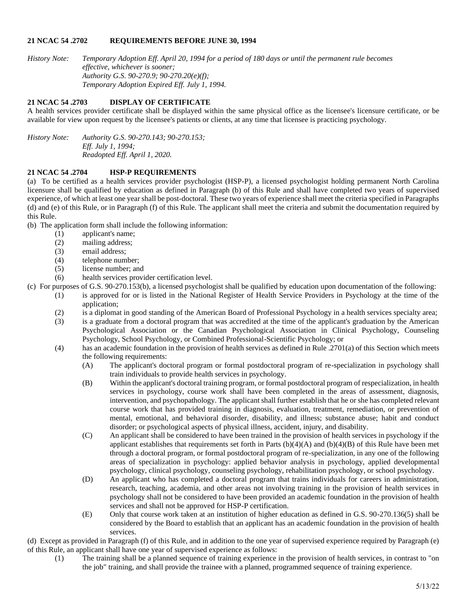### **21 NCAC 54 .2702 REQUIREMENTS BEFORE JUNE 30, 1994**

*History Note: Temporary Adoption Eff. April 20, 1994 for a period of 180 days or until the permanent rule becomes effective, whichever is sooner; Authority G.S. 90-270.9; 90-270.20(e)(f); Temporary Adoption Expired Eff. July 1, 1994.*

# **21 NCAC 54 .2703 DISPLAY OF CERTIFICATE**

A health services provider certificate shall be displayed within the same physical office as the licensee's licensure certificate, or be available for view upon request by the licensee's patients or clients, at any time that licensee is practicing psychology.

*History Note: Authority G.S. 90-270.143; 90-270.153; Eff. July 1, 1994; Readopted Eff. April 1, 2020.*

# **21 NCAC 54 .2704 HSP-P REQUIREMENTS**

(a) To be certified as a health services provider psychologist (HSP-P), a licensed psychologist holding permanent North Carolina licensure shall be qualified by education as defined in Paragraph (b) of this Rule and shall have completed two years of supervised experience, of which at least one year shall be post-doctoral. These two years of experience shall meet the criteria specified in Paragraphs (d) and (e) of this Rule, or in Paragraph (f) of this Rule. The applicant shall meet the criteria and submit the documentation required by this Rule.

(b) The application form shall include the following information:

- (1) applicant's name;
- (2) mailing address;
- (3) email address;
- (4) telephone number;
- (5) license number; and

(6) health services provider certification level.

- (c) For purposes of G.S. 90-270.153(b), a licensed psychologist shall be qualified by education upon documentation of the following:
	- (1) is approved for or is listed in the National Register of Health Service Providers in Psychology at the time of the application;
		- (2) is a diplomat in good standing of the American Board of Professional Psychology in a health services specialty area;
		- (3) is a graduate from a doctoral program that was accredited at the time of the applicant's graduation by the American Psychological Association or the Canadian Psychological Association in Clinical Psychology, Counseling Psychology, School Psychology, or Combined Professional-Scientific Psychology; or
		- (4) has an academic foundation in the provision of health services as defined in Rule .2701(a) of this Section which meets the following requirements:
			- (A) The applicant's doctoral program or formal postdoctoral program of re-specialization in psychology shall train individuals to provide health services in psychology.
			- (B) Within the applicant's doctoral training program, or formal postdoctoral program of respecialization, in health services in psychology, course work shall have been completed in the areas of assessment, diagnosis, intervention, and psychopathology. The applicant shall further establish that he or she has completed relevant course work that has provided training in diagnosis, evaluation, treatment, remediation, or prevention of mental, emotional, and behavioral disorder, disability, and illness; substance abuse; habit and conduct disorder; or psychological aspects of physical illness, accident, injury, and disability.
			- (C) An applicant shall be considered to have been trained in the provision of health services in psychology if the applicant establishes that requirements set forth in Parts  $(b)(4)(A)$  and  $(b)(4)(B)$  of this Rule have been met through a doctoral program, or formal postdoctoral program of re-specialization, in any one of the following areas of specialization in psychology: applied behavior analysis in psychology, applied developmental psychology, clinical psychology, counseling psychology, rehabilitation psychology, or school psychology.
			- (D) An applicant who has completed a doctoral program that trains individuals for careers in administration, research, teaching, academia, and other areas not involving training in the provision of health services in psychology shall not be considered to have been provided an academic foundation in the provision of health services and shall not be approved for HSP-P certification.
			- (E) Only that course work taken at an institution of higher education as defined in G.S. 90-270.136(5) shall be considered by the Board to establish that an applicant has an academic foundation in the provision of health services.

(d) Except as provided in Paragraph (f) of this Rule, and in addition to the one year of supervised experience required by Paragraph (e) of this Rule, an applicant shall have one year of supervised experience as follows:

(1) The training shall be a planned sequence of training experience in the provision of health services, in contrast to "on the job" training, and shall provide the trainee with a planned, programmed sequence of training experience.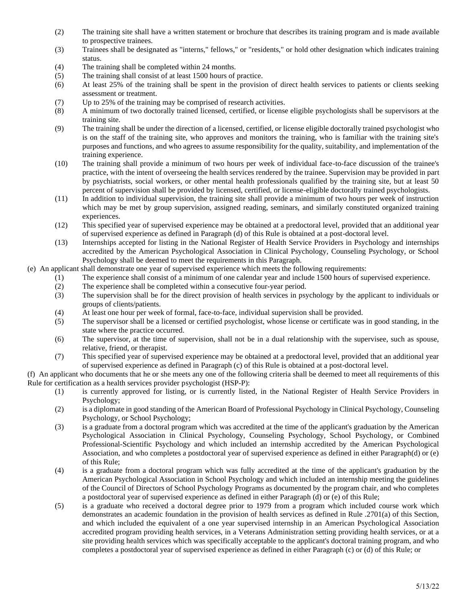- (2) The training site shall have a written statement or brochure that describes its training program and is made available to prospective trainees.
- (3) Trainees shall be designated as "interns," fellows," or "residents," or hold other designation which indicates training status.
- (4) The training shall be completed within 24 months.
- (5) The training shall consist of at least 1500 hours of practice.
- (6) At least 25% of the training shall be spent in the provision of direct health services to patients or clients seeking assessment or treatment.
- (7) Up to 25% of the training may be comprised of research activities.
- (8) A minimum of two doctorally trained licensed, certified, or license eligible psychologists shall be supervisors at the training site.
- (9) The training shall be under the direction of a licensed, certified, or license eligible doctorally trained psychologist who is on the staff of the training site, who approves and monitors the training, who is familiar with the training site's purposes and functions, and who agrees to assume responsibility for the quality, suitability, and implementation of the training experience.
- (10) The training shall provide a minimum of two hours per week of individual face-to-face discussion of the trainee's practice, with the intent of overseeing the health services rendered by the trainee. Supervision may be provided in part by psychiatrists, social workers, or other mental health professionals qualified by the training site, but at least 50 percent of supervision shall be provided by licensed, certified, or license-eligible doctorally trained psychologists.
- (11) In addition to individual supervision, the training site shall provide a minimum of two hours per week of instruction which may be met by group supervision, assigned reading, seminars, and similarly constituted organized training experiences.
- (12) This specified year of supervised experience may be obtained at a predoctoral level, provided that an additional year of supervised experience as defined in Paragraph (d) of this Rule is obtained at a post-doctoral level.
- (13) Internships accepted for listing in the National Register of Health Service Providers in Psychology and internships accredited by the American Psychological Association in Clinical Psychology, Counseling Psychology, or School Psychology shall be deemed to meet the requirements in this Paragraph.
- (e) An applicant shall demonstrate one year of supervised experience which meets the following requirements:
	- (1) The experience shall consist of a minimum of one calendar year and include 1500 hours of supervised experience.
	- (2) The experience shall be completed within a consecutive four-year period.
	- (3) The supervision shall be for the direct provision of health services in psychology by the applicant to individuals or groups of clients/patients.
	- (4) At least one hour per week of formal, face-to-face, individual supervision shall be provided.
	- (5) The supervisor shall be a licensed or certified psychologist, whose license or certificate was in good standing, in the state where the practice occurred.
	- (6) The supervisor, at the time of supervision, shall not be in a dual relationship with the supervisee, such as spouse, relative, friend, or therapist.
	- (7) This specified year of supervised experience may be obtained at a predoctoral level, provided that an additional year of supervised experience as defined in Paragraph (c) of this Rule is obtained at a post-doctoral level.

(f) An applicant who documents that he or she meets any one of the following criteria shall be deemed to meet all requirements of this Rule for certification as a health services provider psychologist (HSP-P):

- (1) is currently approved for listing, or is currently listed, in the National Register of Health Service Providers in Psychology;
- (2) is a diplomate in good standing of the American Board of Professional Psychology in Clinical Psychology, Counseling Psychology, or School Psychology;
- (3) is a graduate from a doctoral program which was accredited at the time of the applicant's graduation by the American Psychological Association in Clinical Psychology, Counseling Psychology, School Psychology, or Combined Professional-Scientific Psychology and which included an internship accredited by the American Psychological Association, and who completes a postdoctoral year of supervised experience as defined in either Paragraph(d) or (e) of this Rule;
- (4) is a graduate from a doctoral program which was fully accredited at the time of the applicant's graduation by the American Psychological Association in School Psychology and which included an internship meeting the guidelines of the Council of Directors of School Psychology Programs as documented by the program chair, and who completes a postdoctoral year of supervised experience as defined in either Paragraph (d) or (e) of this Rule;
- (5) is a graduate who received a doctoral degree prior to 1979 from a program which included course work which demonstrates an academic foundation in the provision of health services as defined in Rule .2701(a) of this Section, and which included the equivalent of a one year supervised internship in an American Psychological Association accredited program providing health services, in a Veterans Administration setting providing health services, or at a site providing health services which was specifically acceptable to the applicant's doctoral training program, and who completes a postdoctoral year of supervised experience as defined in either Paragraph (c) or (d) of this Rule; or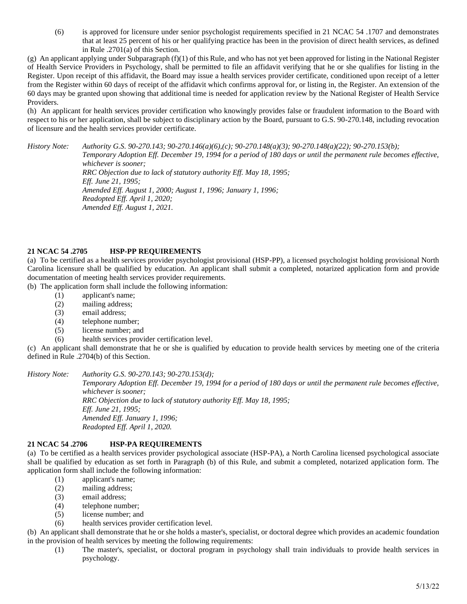(6) is approved for licensure under senior psychologist requirements specified in 21 NCAC 54 .1707 and demonstrates that at least 25 percent of his or her qualifying practice has been in the provision of direct health services, as defined in Rule .2701(a) of this Section.

(g) An applicant applying under Subparagraph  $(f)(1)$  of this Rule, and who has not yet been approved for listing in the National Register of Health Service Providers in Psychology, shall be permitted to file an affidavit verifying that he or she qualifies for listing in the Register. Upon receipt of this affidavit, the Board may issue a health services provider certificate, conditioned upon receipt of a letter from the Register within 60 days of receipt of the affidavit which confirms approval for, or listing in, the Register. An extension of the 60 days may be granted upon showing that additional time is needed for application review by the National Register of Health Service Providers.

(h) An applicant for health services provider certification who knowingly provides false or fraudulent information to the Board with respect to his or her application, shall be subject to disciplinary action by the Board, pursuant to G.S. 90-270.148, including revocation of licensure and the health services provider certificate.

*History Note: Authority G.S. 90-270.143; 90-270.146(a)(6),(c); 90-270.148(a)(3); 90-270.148(a)(22); 90-270.153(b); Temporary Adoption Eff. December 19, 1994 for a period of 180 days or until the permanent rule becomes effective, whichever is sooner; RRC Objection due to lack of statutory authority Eff. May 18, 1995; Eff. June 21, 1995; Amended Eff. August 1, 2000; August 1, 1996; January 1, 1996; Readopted Eff. April 1, 2020; Amended Eff. August 1, 2021.*

# **21 NCAC 54 .2705 HSP-PP REQUIREMENTS**

(a) To be certified as a health services provider psychologist provisional (HSP-PP), a licensed psychologist holding provisional North Carolina licensure shall be qualified by education. An applicant shall submit a completed, notarized application form and provide documentation of meeting health services provider requirements.

(b) The application form shall include the following information:

- (1) applicant's name;
- (2) mailing address;
- (3) email address;
- (4) telephone number;
- (5) license number; and
- (6) health services provider certification level.

(c) An applicant shall demonstrate that he or she is qualified by education to provide health services by meeting one of the criteria defined in Rule .2704(b) of this Section.

#### *History Note: Authority G.S. 90-270.143; 90-270.153(d);*

*Temporary Adoption Eff. December 19, 1994 for a period of 180 days or until the permanent rule becomes effective, whichever is sooner; RRC Objection due to lack of statutory authority Eff. May 18, 1995; Eff. June 21, 1995; Amended Eff. January 1, 1996; Readopted Eff. April 1, 2020.*

### **21 NCAC 54 .2706 HSP-PA REQUIREMENTS**

(a) To be certified as a health services provider psychological associate (HSP-PA), a North Carolina licensed psychological associate shall be qualified by education as set forth in Paragraph (b) of this Rule, and submit a completed, notarized application form. The application form shall include the following information:

- (1) applicant's name;
- (2) mailing address;
- (3) email address;
- (4) telephone number;
- (5) license number; and
- (6) health services provider certification level.

(b) An applicant shall demonstrate that he or she holds a master's, specialist, or doctoral degree which provides an academic foundation in the provision of health services by meeting the following requirements:

(1) The master's, specialist, or doctoral program in psychology shall train individuals to provide health services in psychology.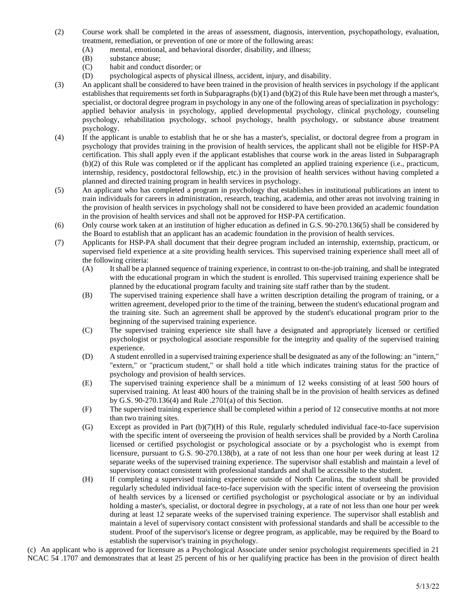- (2) Course work shall be completed in the areas of assessment, diagnosis, intervention, psychopathology, evaluation, treatment, remediation, or prevention of one or more of the following areas:
	- (A) mental, emotional, and behavioral disorder, disability, and illness;
	- (B) substance abuse;
	- (C) habit and conduct disorder; or
	- (D) psychological aspects of physical illness, accident, injury, and disability.
- (3) An applicant shall be considered to have been trained in the provision of health services in psychology if the applicant establishes that requirements set forth in Subparagraphs (b)(1) and (b)(2) of this Rule have been met through a master's, specialist, or doctoral degree program in psychology in any one of the following areas of specialization in psychology: applied behavior analysis in psychology, applied developmental psychology, clinical psychology, counseling psychology, rehabilitation psychology, school psychology, health psychology, or substance abuse treatment psychology.
- (4) If the applicant is unable to establish that he or she has a master's, specialist, or doctoral degree from a program in psychology that provides training in the provision of health services, the applicant shall not be eligible for HSP-PA certification. This shall apply even if the applicant establishes that course work in the areas listed in Subparagraph (b)(2) of this Rule was completed or if the applicant has completed an applied training experience (i.e., practicum, internship, residency, postdoctoral fellowship, etc.) in the provision of health services without having completed a planned and directed training program in health services in psychology.
- (5) An applicant who has completed a program in psychology that establishes in institutional publications an intent to train individuals for careers in administration, research, teaching, academia, and other areas not involving training in the provision of health services in psychology shall not be considered to have been provided an academic foundation in the provision of health services and shall not be approved for HSP-PA certification.
- (6) Only course work taken at an institution of higher education as defined in G.S. 90-270.136(5) shall be considered by the Board to establish that an applicant has an academic foundation in the provision of health services.
- (7) Applicants for HSP-PA shall document that their degree program included an internship, externship, practicum, or supervised field experience at a site providing health services. This supervised training experience shall meet all of the following criteria:
	- (A) It shall be a planned sequence of training experience, in contrast to on-the-job training, and shall be integrated with the educational program in which the student is enrolled. This supervised training experience shall be planned by the educational program faculty and training site staff rather than by the student.
	- (B) The supervised training experience shall have a written description detailing the program of training, or a written agreement, developed prior to the time of the training, between the student's educational program and the training site. Such an agreement shall be approved by the student's educational program prior to the beginning of the supervised training experience.
	- (C) The supervised training experience site shall have a designated and appropriately licensed or certified psychologist or psychological associate responsible for the integrity and quality of the supervised training experience.
	- (D) A student enrolled in a supervised training experience shall be designated as any of the following: an "intern," "extern," or "practicum student," or shall hold a title which indicates training status for the practice of psychology and provision of health services.
	- (E) The supervised training experience shall be a minimum of 12 weeks consisting of at least 500 hours of supervised training. At least 400 hours of the training shall be in the provision of health services as defined by G.S. 90-270.136(4) and Rule .2701(a) of this Section.
	- (F) The supervised training experience shall be completed within a period of 12 consecutive months at not more than two training sites.
	- (G) Except as provided in Part (b)(7)(H) of this Rule, regularly scheduled individual face-to-face supervision with the specific intent of overseeing the provision of health services shall be provided by a North Carolina licensed or certified psychologist or psychological associate or by a psychologist who is exempt from licensure, pursuant to G.S. 90-270.138(b), at a rate of not less than one hour per week during at least 12 separate weeks of the supervised training experience. The supervisor shall establish and maintain a level of supervisory contact consistent with professional standards and shall be accessible to the student.
	- (H) If completing a supervised training experience outside of North Carolina, the student shall be provided regularly scheduled individual face-to-face supervision with the specific intent of overseeing the provision of health services by a licensed or certified psychologist or psychological associate or by an individual holding a master's, specialist, or doctoral degree in psychology, at a rate of not less than one hour per week during at least 12 separate weeks of the supervised training experience. The supervisor shall establish and maintain a level of supervisory contact consistent with professional standards and shall be accessible to the student. Proof of the supervisor's license or degree program, as applicable, may be required by the Board to establish the supervisor's training in psychology.

(c) An applicant who is approved for licensure as a Psychological Associate under senior psychologist requirements specified in 21 NCAC 54 .1707 and demonstrates that at least 25 percent of his or her qualifying practice has been in the provision of direct health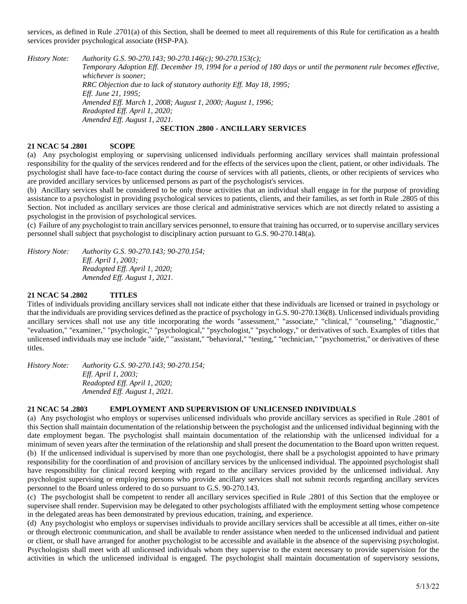services, as defined in Rule .2701(a) of this Section, shall be deemed to meet all requirements of this Rule for certification as a health services provider psychological associate (HSP-PA).

*History Note: Authority G.S. 90-270.143; 90-270.146(c); 90-270.153(c); Temporary Adoption Eff. December 19, 1994 for a period of 180 days or until the permanent rule becomes effective, whichever is sooner; RRC Objection due to lack of statutory authority Eff. May 18, 1995; Eff. June 21, 1995; Amended Eff. March 1, 2008; August 1, 2000; August 1, 1996; Readopted Eff. April 1, 2020; Amended Eff. August 1, 2021.*

# **SECTION .2800 - ANCILLARY SERVICES**

### **21 NCAC 54 .2801 SCOPE**

(a) Any psychologist employing or supervising unlicensed individuals performing ancillary services shall maintain professional responsibility for the quality of the services rendered and for the effects of the services upon the client, patient, or other individuals. The psychologist shall have face-to-face contact during the course of services with all patients, clients, or other recipients of services who are provided ancillary services by unlicensed persons as part of the psychologist's services.

(b) Ancillary services shall be considered to be only those activities that an individual shall engage in for the purpose of providing assistance to a psychologist in providing psychological services to patients, clients, and their families, as set forth in Rule .2805 of this Section. Not included as ancillary services are those clerical and administrative services which are not directly related to assisting a psychologist in the provision of psychological services.

(c) Failure of any psychologist to train ancillary services personnel, to ensure that training has occurred, or to supervise ancillary services personnel shall subject that psychologist to disciplinary action pursuant to G.S. 90-270.148(a).

*History Note: Authority G.S. 90-270.143; 90-270.154; Eff. April 1, 2003; Readopted Eff. April 1, 2020; Amended Eff. August 1, 2021.*

### **21 NCAC 54 .2802 TITLES**

Titles of individuals providing ancillary services shall not indicate either that these individuals are licensed or trained in psychology or that the individuals are providing services defined as the practice of psychology in G.S. 90-270.136(8). Unlicensed individuals providing ancillary services shall not use any title incorporating the words "assessment," "associate," "clinical," "counseling," "diagnostic," "evaluation," "examiner," "psychologic," "psychological," "psychologist," "psychology," or derivatives of such. Examples of titles that unlicensed individuals may use include "aide," "assistant," "behavioral," "testing," "technician," "psychometrist," or derivatives of these titles.

*History Note: Authority G.S. 90-270.143; 90-270.154; Eff. April 1, 2003; Readopted Eff. April 1, 2020; Amended Eff. August 1, 2021.*

### **21 NCAC 54 .2803 EMPLOYMENT AND SUPERVISION OF UNLICENSED INDIVIDUALS**

(a) Any psychologist who employs or supervises unlicensed individuals who provide ancillary services as specified in Rule .2801 of this Section shall maintain documentation of the relationship between the psychologist and the unlicensed individual beginning with the date employment began. The psychologist shall maintain documentation of the relationship with the unlicensed individual for a minimum of seven years after the termination of the relationship and shall present the documentation to the Board upon written request. (b) If the unlicensed individual is supervised by more than one psychologist, there shall be a psychologist appointed to have primary responsibility for the coordination of and provision of ancillary services by the unlicensed individual. The appointed psychologist shall have responsibility for clinical record keeping with regard to the ancillary services provided by the unlicensed individual. Any psychologist supervising or employing persons who provide ancillary services shall not submit records regarding ancillary services personnel to the Board unless ordered to do so pursuant to G.S. 90-270.143.

(c) The psychologist shall be competent to render all ancillary services specified in Rule .2801 of this Section that the employee or supervisee shall render. Supervision may be delegated to other psychologists affiliated with the employment setting whose competence in the delegated areas has been demonstrated by previous education, training, and experience.

(d) Any psychologist who employs or supervises individuals to provide ancillary services shall be accessible at all times, either on-site or through electronic communication, and shall be available to render assistance when needed to the unlicensed individual and patient or client, or shall have arranged for another psychologist to be accessible and available in the absence of the supervising psychologist. Psychologists shall meet with all unlicensed individuals whom they supervise to the extent necessary to provide supervision for the activities in which the unlicensed individual is engaged. The psychologist shall maintain documentation of supervisory sessions,